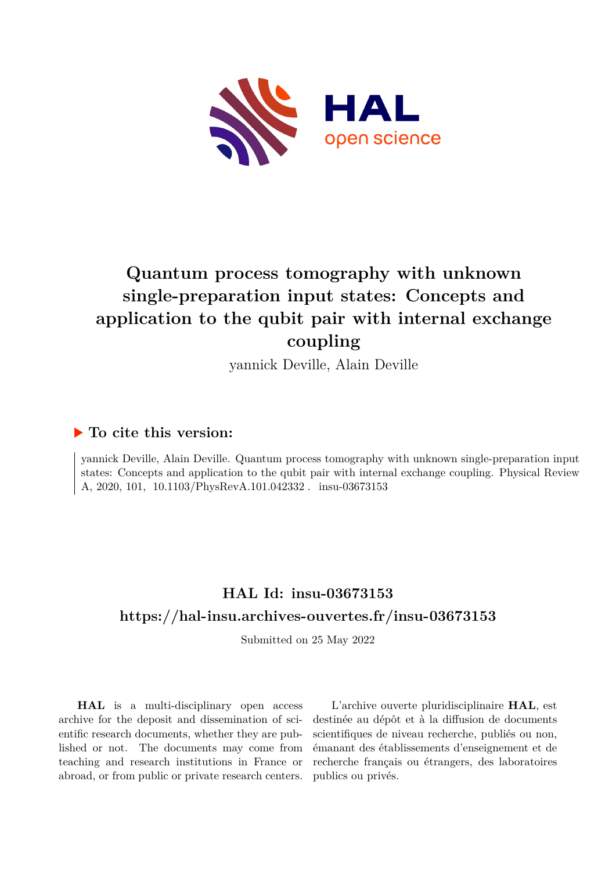

# **Quantum process tomography with unknown single-preparation input states: Concepts and application to the qubit pair with internal exchange coupling**

yannick Deville, Alain Deville

## **To cite this version:**

yannick Deville, Alain Deville. Quantum process tomography with unknown single-preparation input states: Concepts and application to the qubit pair with internal exchange coupling. Physical Review A, 2020, 101,  $10.1103/PhysRevA.101.042332$ . insu-03673153

## **HAL Id: insu-03673153 <https://hal-insu.archives-ouvertes.fr/insu-03673153>**

Submitted on 25 May 2022

**HAL** is a multi-disciplinary open access archive for the deposit and dissemination of scientific research documents, whether they are published or not. The documents may come from teaching and research institutions in France or abroad, or from public or private research centers.

L'archive ouverte pluridisciplinaire **HAL**, est destinée au dépôt et à la diffusion de documents scientifiques de niveau recherche, publiés ou non, émanant des établissements d'enseignement et de recherche français ou étrangers, des laboratoires publics ou privés.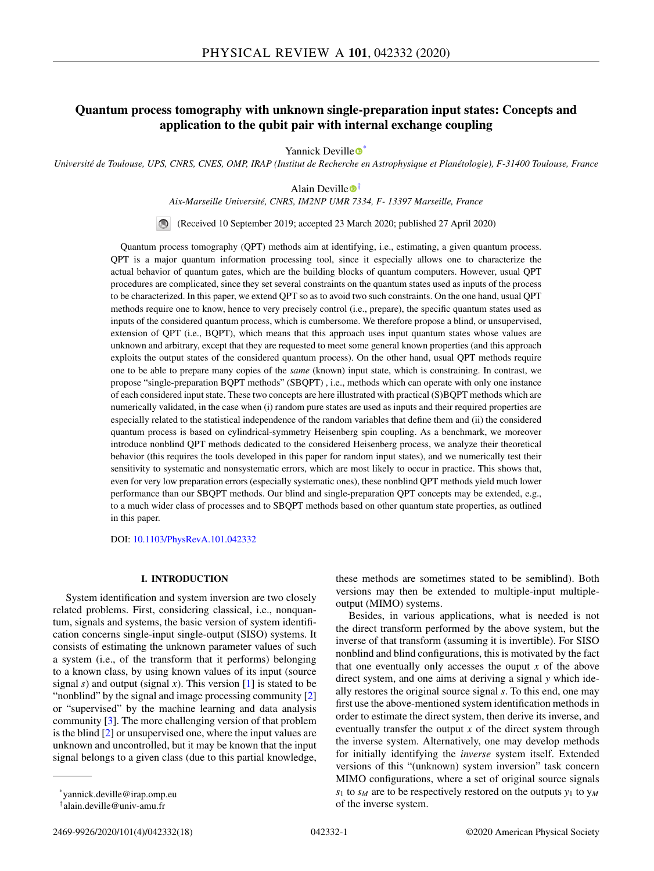## **Quantum process tomography with unknown single-preparation input states: Concepts and application to the qubit pair with internal exchange coupling**

Yannick D[e](https://orcid.org/0000-0002-8769-2446)ville  $\bullet^*$ 

*Université de Toulouse, UPS, CNRS, CNES, OMP, IRAP (Institut de Recherche en Astrophysique et Planétologie), F-31400 Toulouse, France*

Alain D[e](https://orcid.org/0000-0001-5246-8391)ville  $\bullet^{\dagger}$ 

*Aix-Marseille Université, CNRS, IM2NP UMR 7334, F- 13397 Marseille, France*

(Received 10 September 2019; accepted 23 March 2020; published 27 April 2020)

Quantum process tomography (QPT) methods aim at identifying, i.e., estimating, a given quantum process. QPT is a major quantum information processing tool, since it especially allows one to characterize the actual behavior of quantum gates, which are the building blocks of quantum computers. However, usual QPT procedures are complicated, since they set several constraints on the quantum states used as inputs of the process to be characterized. In this paper, we extend QPT so as to avoid two such constraints. On the one hand, usual QPT methods require one to know, hence to very precisely control (i.e., prepare), the specific quantum states used as inputs of the considered quantum process, which is cumbersome. We therefore propose a blind, or unsupervised, extension of QPT (i.e., BQPT), which means that this approach uses input quantum states whose values are unknown and arbitrary, except that they are requested to meet some general known properties (and this approach exploits the output states of the considered quantum process). On the other hand, usual QPT methods require one to be able to prepare many copies of the *same* (known) input state, which is constraining. In contrast, we propose "single-preparation BQPT methods" (SBQPT) , i.e., methods which can operate with only one instance of each considered input state. These two concepts are here illustrated with practical (S)BQPT methods which are numerically validated, in the case when (i) random pure states are used as inputs and their required properties are especially related to the statistical independence of the random variables that define them and (ii) the considered quantum process is based on cylindrical-symmetry Heisenberg spin coupling. As a benchmark, we moreover introduce nonblind QPT methods dedicated to the considered Heisenberg process, we analyze their theoretical behavior (this requires the tools developed in this paper for random input states), and we numerically test their sensitivity to systematic and nonsystematic errors, which are most likely to occur in practice. This shows that, even for very low preparation errors (especially systematic ones), these nonblind QPT methods yield much lower performance than our SBQPT methods. Our blind and single-preparation QPT concepts may be extended, e.g., to a much wider class of processes and to SBQPT methods based on other quantum state properties, as outlined in this paper.

DOI: [10.1103/PhysRevA.101.042332](https://doi.org/10.1103/PhysRevA.101.042332)

## **I. INTRODUCTION**

System identification and system inversion are two closely related problems. First, considering classical, i.e., nonquantum, signals and systems, the basic version of system identification concerns single-input single-output (SISO) systems. It consists of estimating the unknown parameter values of such a system (i.e., of the transform that it performs) belonging to a known class, by using known values of its input (source signal  $s$ ) and output (signal  $x$ ). This version  $[1]$  is stated to be "nonblind" by the signal and image processing community [2] or "supervised" by the machine learning and data analysis community [3]. The more challenging version of that problem is the blind [2] or unsupervised one, where the input values are unknown and uncontrolled, but it may be known that the input signal belongs to a given class (due to this partial knowledge,

these methods are sometimes stated to be semiblind). Both versions may then be extended to multiple-input multipleoutput (MIMO) systems.

Besides, in various applications, what is needed is not the direct transform performed by the above system, but the inverse of that transform (assuming it is invertible). For SISO nonblind and blind configurations, this is motivated by the fact that one eventually only accesses the ouput  $x$  of the above direct system, and one aims at deriving a signal *y* which ideally restores the original source signal *s*. To this end, one may first use the above-mentioned system identification methods in order to estimate the direct system, then derive its inverse, and eventually transfer the output *x* of the direct system through the inverse system. Alternatively, one may develop methods for initially identifying the *inverse* system itself. Extended versions of this "(unknown) system inversion" task concern MIMO configurations, where a set of original source signals  $s_1$  to  $s_M$  are to be respectively restored on the outputs  $y_1$  to  $y_M$ of the inverse system.

<sup>\*</sup>yannick.deville@irap.omp.eu

<sup>†</sup>alain.deville@univ-amu.fr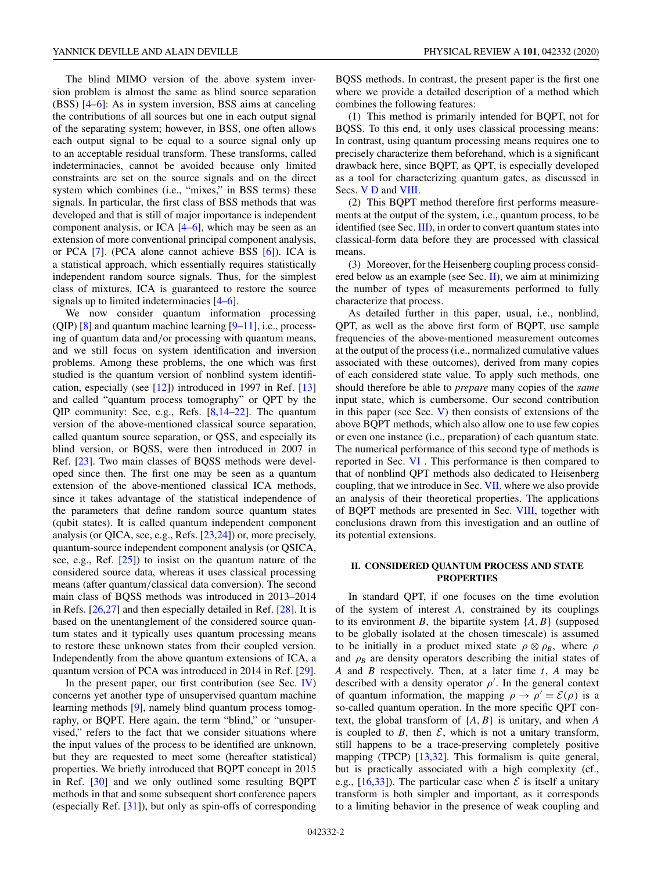The blind MIMO version of the above system inversion problem is almost the same as blind source separation (BSS) [4–6]: As in system inversion, BSS aims at canceling the contributions of all sources but one in each output signal of the separating system; however, in BSS, one often allows each output signal to be equal to a source signal only up to an acceptable residual transform. These transforms, called indeterminacies, cannot be avoided because only limited constraints are set on the source signals and on the direct system which combines (i.e., "mixes," in BSS terms) these signals. In particular, the first class of BSS methods that was developed and that is still of major importance is independent component analysis, or ICA [4–6], which may be seen as an extension of more conventional principal component analysis, or PCA [7]. (PCA alone cannot achieve BSS [6]). ICA is a statistical approach, which essentially requires statistically independent random source signals. Thus, for the simplest class of mixtures, ICA is guaranteed to restore the source signals up to limited indeterminacies [4–6].

We now consider quantum information processing (QIP)  $[8]$  and quantum machine learning  $[9-11]$ , i.e., processing of quantum data and/or processing with quantum means, and we still focus on system identification and inversion problems. Among these problems, the one which was first studied is the quantum version of nonblind system identification, especially (see [12]) introduced in 1997 in Ref. [13] and called "quantum process tomography" or QPT by the QIP community: See, e.g., Refs. [8,14–22]. The quantum version of the above-mentioned classical source separation, called quantum source separation, or QSS, and especially its blind version, or BQSS, were then introduced in 2007 in Ref. [23]. Two main classes of BQSS methods were developed since then. The first one may be seen as a quantum extension of the above-mentioned classical ICA methods, since it takes advantage of the statistical independence of the parameters that define random source quantum states (qubit states). It is called quantum independent component analysis (or QICA, see, e.g., Refs. [23,24]) or, more precisely, quantum-source independent component analysis (or QSICA, see, e.g., Ref. [25]) to insist on the quantum nature of the considered source data, whereas it uses classical processing means (after quantum/classical data conversion). The second main class of BQSS methods was introduced in 2013–2014 in Refs. [26,27] and then especially detailed in Ref. [28]. It is based on the unentanglement of the considered source quantum states and it typically uses quantum processing means to restore these unknown states from their coupled version. Independently from the above quantum extensions of ICA, a quantum version of PCA was introduced in 2014 in Ref. [29].

In the present paper, our first contribution (see Sec. IV) concerns yet another type of unsupervised quantum machine learning methods [9], namely blind quantum process tomography, or BQPT. Here again, the term "blind," or "unsupervised," refers to the fact that we consider situations where the input values of the process to be identified are unknown, but they are requested to meet some (hereafter statistical) properties. We briefly introduced that BQPT concept in 2015 in Ref. [30] and we only outlined some resulting BQPT methods in that and some subsequent short conference papers (especially Ref. [31]), but only as spin-offs of corresponding BQSS methods. In contrast, the present paper is the first one where we provide a detailed description of a method which combines the following features:

(1) This method is primarily intended for BQPT, not for BQSS. To this end, it only uses classical processing means: In contrast, using quantum processing means requires one to precisely characterize them beforehand, which is a significant drawback here, since BQPT, as QPT, is especially developed as a tool for characterizing quantum gates, as discussed in Secs. V D and VIII.

(2) This BQPT method therefore first performs measurements at the output of the system, i.e., quantum process, to be identified (see Sec. III), in order to convert quantum states into classical-form data before they are processed with classical means.

(3) Moreover, for the Heisenberg coupling process considered below as an example (see Sec.  $\Pi$ ), we aim at minimizing the number of types of measurements performed to fully characterize that process.

As detailed further in this paper, usual, i.e., nonblind, QPT, as well as the above first form of BQPT, use sample frequencies of the above-mentioned measurement outcomes at the output of the process (i.e., normalized cumulative values associated with these outcomes), derived from many copies of each considered state value. To apply such methods, one should therefore be able to *prepare* many copies of the *same* input state, which is cumbersome. Our second contribution in this paper (see Sec.  $V$ ) then consists of extensions of the above BQPT methods, which also allow one to use few copies or even one instance (i.e., preparation) of each quantum state. The numerical performance of this second type of methods is reported in Sec. VI . This performance is then compared to that of nonblind QPT methods also dedicated to Heisenberg coupling, that we introduce in Sec. VII, where we also provide an analysis of their theoretical properties. The applications of BQPT methods are presented in Sec. VIII, together with conclusions drawn from this investigation and an outline of its potential extensions.

## **II. CONSIDERED QUANTUM PROCESS AND STATE PROPERTIES**

In standard QPT, if one focuses on the time evolution of the system of interest *A*, constrained by its couplings to its environment *B*, the bipartite system  $\{A, B\}$  (supposed to be globally isolated at the chosen timescale) is assumed to be initially in a product mixed state  $\rho \otimes \rho_B$ , where  $\rho$ and  $\rho_B$  are density operators describing the initial states of *A* and *B* respectively. Then, at a later time *t*, *A* may be described with a density operator  $\rho'$ . In the general context of quantum information, the mapping  $\rho \rightarrow \rho' = \mathcal{E}(\rho)$  is a so-called quantum operation. In the more specific QPT context, the global transform of {*A*, *B*} is unitary, and when *A* is coupled to  $B$ , then  $\mathcal{E}$ , which is not a unitary transform, still happens to be a trace-preserving completely positive mapping (TPCP) [13,32]. This formalism is quite general, but is practically associated with a high complexity (cf., e.g.,  $[16,33]$ ). The particular case when  $\mathcal E$  is itself a unitary transform is both simpler and important, as it corresponds to a limiting behavior in the presence of weak coupling and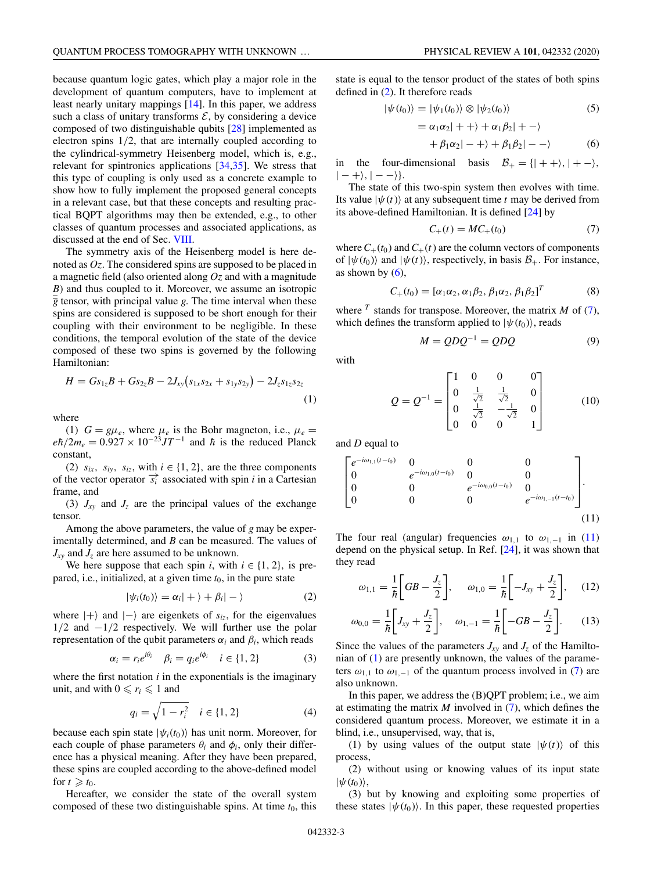because quantum logic gates, which play a major role in the development of quantum computers, have to implement at least nearly unitary mappings [14]. In this paper, we address such a class of unitary transforms  $\mathcal{E}$ , by considering a device composed of two distinguishable qubits [28] implemented as electron spins 1/2, that are internally coupled according to the cylindrical-symmetry Heisenberg model, which is, e.g., relevant for spintronics applications [34,35]. We stress that this type of coupling is only used as a concrete example to show how to fully implement the proposed general concepts in a relevant case, but that these concepts and resulting practical BQPT algorithms may then be extended, e.g., to other classes of quantum processes and associated applications, as discussed at the end of Sec. VIII.

The symmetry axis of the Heisenberg model is here denoted as *Oz*. The considered spins are supposed to be placed in a magnetic field (also oriented along *Oz* and with a magnitude *B*) and thus coupled to it. Moreover, we assume an isotropic  $\overline{g}$  tensor, with principal value *g*. The time interval when these spins are considered is supposed to be short enough for their coupling with their environment to be negligible. In these conditions, the temporal evolution of the state of the device composed of these two spins is governed by the following Hamiltonian:

$$
H = Gs_{1z}B + Gs_{2z}B - 2J_{xy}(s_{1x}s_{2x} + s_{1y}s_{2y}) - 2J_{z}s_{1z}s_{2z}
$$
\n(1)

where

(1)  $G = g\mu_e$ , where  $\mu_e$  is the Bohr magneton, i.e.,  $\mu_e =$  $e\hbar/2m_e = 0.927 \times 10^{-23} J T^{-1}$  and  $\hbar$  is the reduced Planck constant,

(2)  $s_{ix}$ ,  $s_{iy}$ ,  $s_{iz}$ , with  $i \in \{1, 2\}$ , are the three components of the vector operator  $\vec{s_i}$  associated with spin *i* in a Cartesian frame, and

(3)  $J_{xy}$  and  $J_z$  are the principal values of the exchange tensor.

Among the above parameters, the value of *g* may be experimentally determined, and *B* can be measured. The values of  $J_{xy}$  and  $J_z$  are here assumed to be unknown.

We here suppose that each spin *i*, with  $i \in \{1, 2\}$ , is prepared, i.e., initialized, at a given time  $t_0$ , in the pure state

$$
|\psi_i(t_0)\rangle = \alpha_i| + \rangle + \beta_i| - \rangle \tag{2}
$$

where  $|+\rangle$  and  $|-\rangle$  are eigenkets of  $s_{iz}$ , for the eigenvalues 1/2 and −1/2 respectively. We will further use the polar representation of the qubit parameters  $\alpha_i$  and  $\beta_i$ , which reads

$$
\alpha_i = r_i e^{i\theta_i} \quad \beta_i = q_i e^{i\phi_i} \quad i \in \{1, 2\}
$$
 (3)

where the first notation *i* in the exponentials is the imaginary unit, and with  $0 \leq r_i \leq 1$  and

$$
q_i = \sqrt{1 - r_i^2} \quad i \in \{1, 2\} \tag{4}
$$

because each spin state  $|\psi_i(t_0)\rangle$  has unit norm. Moreover, for each couple of phase parameters  $\theta_i$  and  $\phi_i$ , only their difference has a physical meaning. After they have been prepared, these spins are coupled according to the above-defined model for  $t \geq t_0$ .

Hereafter, we consider the state of the overall system composed of these two distinguishable spins. At time  $t_0$ , this

state is equal to the tensor product of the states of both spins defined in (2). It therefore reads

$$
|\psi(t_0)\rangle = |\psi_1(t_0)\rangle \otimes |\psi_2(t_0)\rangle \tag{5}
$$

 $= \alpha_1 \alpha_2 + + \rangle + \alpha_1 \beta_2 + - \rangle$ 

$$
+\beta_1\alpha_2| - +\rangle + \beta_1\beta_2| - -\rangle \tag{6}
$$

in the four-dimensional basis  $B_+ = \{ | + + \rangle, | + - \rangle,$  $| - + \rangle, | - - \rangle.$ 

The state of this two-spin system then evolves with time. Its value  $|\psi(t)\rangle$  at any subsequent time *t* may be derived from its above-defined Hamiltonian. It is defined [24] by

$$
C_{+}(t) = MC_{+}(t_0)
$$
 (7)

where  $C_+(t_0)$  and  $C_+(t)$  are the column vectors of components of  $|\psi(t_0)\rangle$  and  $|\psi(t)\rangle$ , respectively, in basis  $\mathcal{B}_+$ . For instance, as shown by  $(6)$ ,

$$
C_{+}(t_{0}) = [\alpha_{1}\alpha_{2}, \alpha_{1}\beta_{2}, \beta_{1}\alpha_{2}, \beta_{1}\beta_{2}]^{T}
$$
 (8)

where  $^T$  stands for transpose. Moreover, the matrix  $M$  of (7), which defines the transform applied to  $|\psi(t_0)\rangle$ , reads

$$
M = QDQ^{-1} = QDQ \tag{9}
$$

with

$$
Q = Q^{-1} = \begin{bmatrix} 1 & 0 & 0 & 0 \\ 0 & \frac{1}{\sqrt{2}} & \frac{1}{\sqrt{2}} & 0 \\ 0 & \frac{1}{\sqrt{2}} & -\frac{1}{\sqrt{2}} & 0 \\ 0 & 0 & 0 & 1 \end{bmatrix}
$$
 (10)

and *D* equal to

$$
\begin{bmatrix} e^{-i\omega_{1,1}(t-t_0)} & 0 & 0 & 0 \ 0 & e^{-i\omega_{1,0}(t-t_0)} & 0 & 0 \ 0 & 0 & e^{-i\omega_{0,0}(t-t_0)} & 0 \ 0 & 0 & 0 & e^{-i\omega_{1,-1}(t-t_0)} \ 0 & 0 & 0 & e^{-i\omega_{1,-1}(t-t_0)} \end{bmatrix}.
$$
\n(11)

The four real (angular) frequencies  $\omega_{1,1}$  to  $\omega_{1,-1}$  in (11) depend on the physical setup. In Ref. [24], it was shown that they read

$$
\omega_{1,1} = \frac{1}{\hbar} \bigg[ GB - \frac{J_z}{2} \bigg], \quad \omega_{1,0} = \frac{1}{\hbar} \bigg[ -J_{xy} + \frac{J_z}{2} \bigg], \quad (12)
$$

$$
\omega_{0,0} = \frac{1}{\hbar} \bigg[ J_{xy} + \frac{J_z}{2} \bigg], \quad \omega_{1,-1} = \frac{1}{\hbar} \bigg[ -GB - \frac{J_z}{2} \bigg]. \tag{13}
$$

Since the values of the parameters  $J_{xy}$  and  $J_z$  of the Hamiltonian of (1) are presently unknown, the values of the parameters  $\omega_{1,1}$  to  $\omega_{1,-1}$  of the quantum process involved in (7) are also unknown.

In this paper, we address the (B)QPT problem; i.e., we aim at estimating the matrix *M* involved in (7), which defines the considered quantum process. Moreover, we estimate it in a blind, i.e., unsupervised, way, that is,

(1) by using values of the output state  $|\psi(t)\rangle$  of this process,

(2) without using or knowing values of its input state  $|\psi(t_0)\rangle$ ,

(3) but by knowing and exploiting some properties of these states  $|\psi(t_0)\rangle$ . In this paper, these requested properties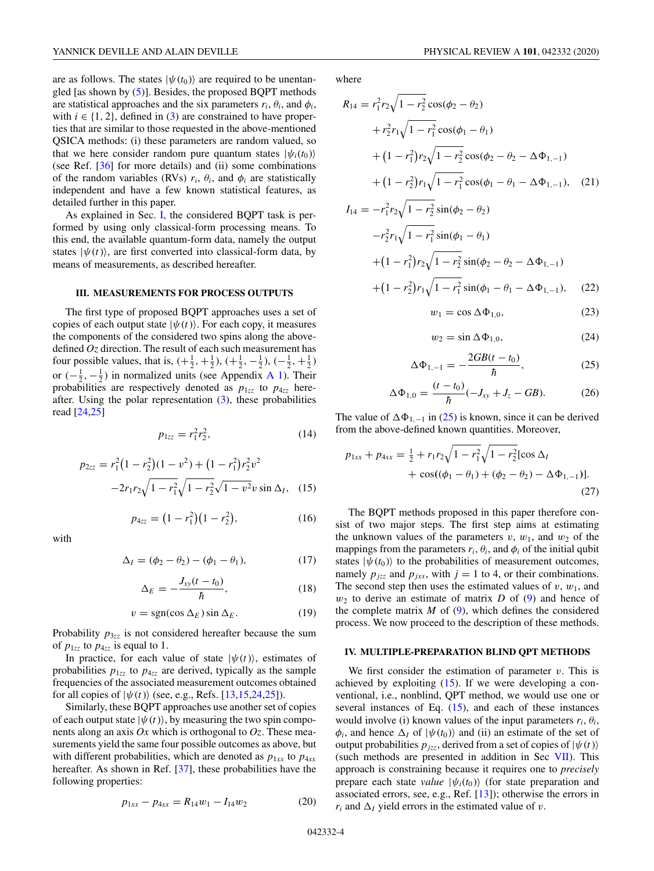are as follows. The states  $|\psi(t_0)\rangle$  are required to be unentangled [as shown by  $(5)$ ]. Besides, the proposed BQPT methods are statistical approaches and the six parameters  $r_i$ ,  $\theta_i$ , and  $\phi_i$ , with  $i \in \{1, 2\}$ , defined in (3) are constrained to have properties that are similar to those requested in the above-mentioned QSICA methods: (i) these parameters are random valued, so that we here consider random pure quantum states  $|\psi_i(t_0)\rangle$ (see Ref. [36] for more details) and (ii) some combinations of the random variables (RVs)  $r_i$ ,  $\theta_i$ , and  $\phi_i$  are statistically independent and have a few known statistical features, as detailed further in this paper.

As explained in Sec. I, the considered BQPT task is performed by using only classical-form processing means. To this end, the available quantum-form data, namely the output states  $|\psi(t)\rangle$ , are first converted into classical-form data, by means of measurements, as described hereafter.

## **III. MEASUREMENTS FOR PROCESS OUTPUTS**

The first type of proposed BQPT approaches uses a set of copies of each output state  $|\psi(t)\rangle$ . For each copy, it measures the components of the considered two spins along the abovedefined *Oz* direction. The result of each such measurement has four possible values, that is,  $(+\frac{1}{2}, +\frac{1}{2})$ ,  $(+\frac{1}{2}, -\frac{1}{2})$ ,  $(-\frac{1}{2}, +\frac{1}{2})$ or  $\left(-\frac{1}{2}, -\frac{1}{2}\right)$  in normalized units (see Appendix A 1). Their probabilities are respectively denoted as  $p_{1zz}$  to  $p_{4zz}$  hereafter. Using the polar representation  $(3)$ , these probabilities read [24,25]

$$
p_{1zz} = r_1^2 r_2^2, \tag{14}
$$

$$
p_{2zz} = r_1^2 (1 - r_2^2)(1 - v^2) + (1 - r_1^2) r_2^2 v^2
$$

$$
-2r_1 r_2 \sqrt{1 - r_1^2} \sqrt{1 - r_2^2} \sqrt{1 - v^2} v \sin \Delta_I, \quad (15)
$$

$$
p_{4zz} = (1 - r_1^2)(1 - r_2^2), \tag{16}
$$

with

$$
\Delta_I = (\phi_2 - \theta_2) - (\phi_1 - \theta_1), \tag{17}
$$

$$
\Delta_E = -\frac{J_{xy}(t - t_0)}{\hbar},\tag{18}
$$

$$
v = \text{sgn}(\cos \Delta_E) \sin \Delta_E. \tag{19}
$$

Probability  $p_{3zz}$  is not considered hereafter because the sum of  $p_{1zz}$  to  $p_{4zz}$  is equal to 1.

In practice, for each value of state  $|\psi(t)\rangle$ , estimates of probabilities  $p_{1zz}$  to  $p_{4zz}$  are derived, typically as the sample frequencies of the associated measurement outcomes obtained for all copies of  $|\psi(t)\rangle$  (see, e.g., Refs. [13,15,24,25]).

Similarly, these BQPT approaches use another set of copies of each output state  $|\psi(t)\rangle$ , by measuring the two spin components along an axis *Ox* which is orthogonal to *Oz*. These measurements yield the same four possible outcomes as above, but with different probabilities, which are denoted as  $p_{1xx}$  to  $p_{4xx}$ hereafter. As shown in Ref. [37], these probabilities have the following properties:

$$
p_{1xx} - p_{4xx} = R_{14}w_1 - I_{14}w_2 \tag{20}
$$

where

$$
R_{14} = r_1^2 r_2 \sqrt{1 - r_2^2} \cos(\phi_2 - \theta_2)
$$
  
+  $r_2^2 r_1 \sqrt{1 - r_1^2} \cos(\phi_1 - \theta_1)$   
+  $(1 - r_1^2) r_2 \sqrt{1 - r_2^2} \cos(\phi_2 - \theta_2 - \Delta \Phi_{1,-1})$   
+  $(1 - r_2^2) r_1 \sqrt{1 - r_1^2} \cos(\phi_1 - \theta_1 - \Delta \Phi_{1,-1})$ , (21)  

$$
I_{14} = -r_1^2 r_2 \sqrt{1 - r_2^2} \sin(\phi_2 - \theta_2)
$$

$$
-r_2^2 r_1 \sqrt{1 - r_1^2 \sin(\phi_1 - \theta_1)}
$$
  
+  $(1 - r_1^2) r_2 \sqrt{1 - r_2^2 \sin(\phi_2 - \theta_2 - \Delta \Phi_{1,-1})}$   
+  $(1 - r_2^2) r_1 \sqrt{1 - r_1^2 \sin(\phi_1 - \theta_1 - \Delta \Phi_{1,-1})}$ , (22)

$$
w_1 = \cos \Delta \Phi_{1,0},\tag{23}
$$

$$
w_2 = \sin \Delta \Phi_{1,0},\tag{24}
$$

$$
\Delta \Phi_{1,-1} = -\frac{2GB(t - t_0)}{\hbar}, \tag{25}
$$

$$
\Delta \Phi_{1,0} = \frac{(t - t_0)}{\hbar} (-J_{xy} + J_z - GB). \tag{26}
$$

The value of  $\Delta \Phi_{1,-1}$  in (25) is known, since it can be derived from the above-defined known quantities. Moreover,

$$
p_{1xx} + p_{4xx} = \frac{1}{2} + r_1 r_2 \sqrt{1 - r_1^2} \sqrt{1 - r_2^2} [\cos \Delta_I + \cos((\phi_1 - \theta_1) + (\phi_2 - \theta_2) - \Delta \Phi_{1,-1})].
$$
\n(27)

The BQPT methods proposed in this paper therefore consist of two major steps. The first step aims at estimating the unknown values of the parameters  $v, w_1$ , and  $w_2$  of the mappings from the parameters  $r_i$ ,  $\theta_i$ , and  $\phi_i$  of the initial qubit states  $|\psi(t_0)\rangle$  to the probabilities of measurement outcomes, namely  $p_{jzz}$  and  $p_{jxx}$ , with  $j = 1$  to 4, or their combinations. The second step then uses the estimated values of  $v, w_1$ , and *w*<sup>2</sup> to derive an estimate of matrix *D* of (9) and hence of the complete matrix  $M$  of  $(9)$ , which defines the considered process. We now proceed to the description of these methods.

#### **IV. MULTIPLE-PREPARATION BLIND QPT METHODS**

We first consider the estimation of parameter *v*. This is achieved by exploiting (15). If we were developing a conventional, i.e., nonblind, QPT method, we would use one or several instances of Eq. (15), and each of these instances would involve (i) known values of the input parameters  $r_i$ ,  $\theta_i$ ,  $\phi_i$ , and hence  $\Delta_I$  of  $|\psi(t_0)\rangle$  and (ii) an estimate of the set of output probabilities  $p_{izz}$ , derived from a set of copies of  $|\psi(t)\rangle$ (such methods are presented in addition in Sec VII). This approach is constraining because it requires one to *precisely* prepare each state *value*  $|\psi_i(t_0)\rangle$  (for state preparation and associated errors, see, e.g., Ref. [13]); otherwise the errors in  $r_i$  and  $\Delta_I$  yield errors in the estimated value of *v*.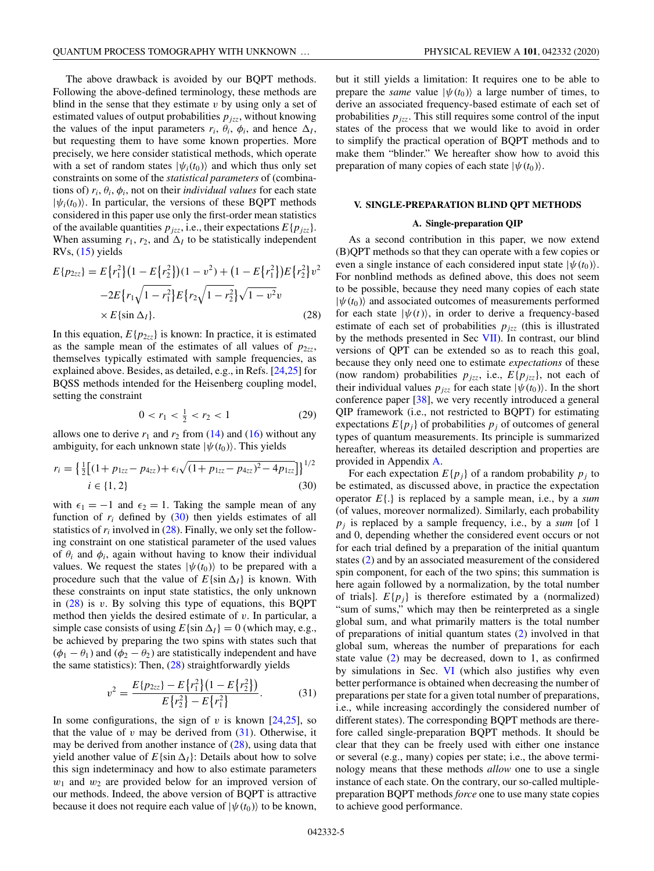The above drawback is avoided by our BQPT methods. Following the above-defined terminology, these methods are blind in the sense that they estimate *v* by using only a set of estimated values of output probabilities  $p_{jzz}$ , without knowing the values of the input parameters  $r_i$ ,  $\theta_i$ ,  $\phi_i$ , and hence  $\Delta_I$ , but requesting them to have some known properties. More precisely, we here consider statistical methods, which operate with a set of random states  $|\psi_i(t_0)\rangle$  and which thus only set constraints on some of the *statistical parameters* of (combinations of)  $r_i$ ,  $\theta_i$ ,  $\phi_i$ , not on their *individual values* for each state  $|\psi_i(t_0)\rangle$ . In particular, the versions of these BQPT methods considered in this paper use only the first-order mean statistics of the available quantities  $p_{jzz}$ , i.e., their expectations  $E\{p_{jzz}\}.$ When assuming  $r_1$ ,  $r_2$ , and  $\Delta_l$  to be statistically independent RVs,  $(15)$  yields

$$
E\{p_{2zz}\} = E\{r_1^2\}(1 - E\{r_2^2\})(1 - v^2) + (1 - E\{r_1^2\})E\{r_2^2\}v^2
$$

$$
-2E\{r_1\sqrt{1 - r_1^2}\}E\{r_2\sqrt{1 - r_2^2}\}\sqrt{1 - v^2}v
$$

$$
\times E\{\sin \Delta_I\}.
$$
(28)

In this equation,  $E\{p_{2zz}\}\$ is known: In practice, it is estimated as the sample mean of the estimates of all values of  $p_{2zz}$ , themselves typically estimated with sample frequencies, as explained above. Besides, as detailed, e.g., in Refs. [24,25] for BQSS methods intended for the Heisenberg coupling model, setting the constraint

$$
0 < r_1 < \frac{1}{2} < r_2 < 1 \tag{29}
$$

allows one to derive  $r_1$  and  $r_2$  from (14) and (16) without any ambiguity, for each unknown state  $|\psi(t_0)\rangle$ . This yields

$$
r_i = \left\{ \frac{1}{2} \left[ (1 + p_{1zz} - p_{4zz}) + \epsilon_i \sqrt{(1 + p_{1zz} - p_{4zz})^2 - 4p_{1zz}} \right] \right\}^{1/2}
$$
  

$$
i \in \{1, 2\}
$$
 (30)

with  $\epsilon_1 = -1$  and  $\epsilon_2 = 1$ . Taking the sample mean of any function of  $r_i$  defined by  $(30)$  then yields estimates of all statistics of *ri* involved in (28). Finally, we only set the following constraint on one statistical parameter of the used values of  $\theta_i$  and  $\phi_i$ , again without having to know their individual values. We request the states  $|\psi(t_0)\rangle$  to be prepared with a procedure such that the value of  $E\{\sin \Delta_l\}$  is known. With these constraints on input state statistics, the only unknown in (28) is *v*. By solving this type of equations, this BQPT method then yields the desired estimate of *v*. In particular, a simple case consists of using  $E\{\sin \Delta I\} = 0$  (which may, e.g., be achieved by preparing the two spins with states such that  $(\phi_1 - \theta_1)$  and  $(\phi_2 - \theta_2)$  are statistically independent and have the same statistics): Then, (28) straightforwardly yields

$$
v^{2} = \frac{E\{p_{2zz}\} - E\{r_{1}^{2}\}\left(1 - E\{r_{2}^{2}\}\right)}{E\{r_{2}^{2}\} - E\{r_{1}^{2}\}}.
$$
 (31)

In some configurations, the sign of  $v$  is known  $[24,25]$ , so that the value of  $v$  may be derived from  $(31)$ . Otherwise, it may be derived from another instance of  $(28)$ , using data that yield another value of  $E\{\sin \Delta_l\}$ : Details about how to solve this sign indeterminacy and how to also estimate parameters *w*<sup>1</sup> and *w*<sup>2</sup> are provided below for an improved version of our methods. Indeed, the above version of BQPT is attractive because it does not require each value of  $|\psi(t_0)\rangle$  to be known,

but it still yields a limitation: It requires one to be able to prepare the *same* value  $|\psi(t_0)\rangle$  a large number of times, to derive an associated frequency-based estimate of each set of probabilities  $p_{jzz}$ . This still requires some control of the input states of the process that we would like to avoid in order to simplify the practical operation of BQPT methods and to make them "blinder." We hereafter show how to avoid this preparation of many copies of each state  $|\psi(t_0)\rangle$ .

## **V. SINGLE-PREPARATION BLIND QPT METHODS**

## **A. Single-preparation QIP**

As a second contribution in this paper, we now extend (B)QPT methods so that they can operate with a few copies or even a single instance of each considered input state  $|\psi(t_0)\rangle$ . For nonblind methods as defined above, this does not seem to be possible, because they need many copies of each state  $|\psi(t_0)\rangle$  and associated outcomes of measurements performed for each state  $|\psi(t)\rangle$ , in order to derive a frequency-based estimate of each set of probabilities  $p_{jzz}$  (this is illustrated by the methods presented in Sec VII). In contrast, our blind versions of QPT can be extended so as to reach this goal, because they only need one to estimate *expectations* of these (now random) probabilities  $p_{jzz}$ , i.e.,  $E\{p_{jzz}\}\)$ , not each of their individual values  $p_{jzz}$  for each state  $|\psi(t_0)\rangle$ . In the short conference paper [38], we very recently introduced a general QIP framework (i.e., not restricted to BQPT) for estimating expectations  $E\{p_i\}$  of probabilities  $p_j$  of outcomes of general types of quantum measurements. Its principle is summarized hereafter, whereas its detailed description and properties are provided in Appendix A.

For each expectation  $E\{p_j\}$  of a random probability  $p_j$  to be estimated, as discussed above, in practice the expectation operator *E*{.} is replaced by a sample mean, i.e., by a *sum* (of values, moreover normalized). Similarly, each probability *pj* is replaced by a sample frequency, i.e., by a *sum* [of 1 and 0, depending whether the considered event occurs or not for each trial defined by a preparation of the initial quantum states (2) and by an associated measurement of the considered spin component, for each of the two spins; this summation is here again followed by a normalization, by the total number of trials].  $E\{p_i\}$  is therefore estimated by a (normalized) "sum of sums," which may then be reinterpreted as a single global sum, and what primarily matters is the total number of preparations of initial quantum states (2) involved in that global sum, whereas the number of preparations for each state value (2) may be decreased, down to 1, as confirmed by simulations in Sec. VI (which also justifies why even better performance is obtained when decreasing the number of preparations per state for a given total number of preparations, i.e., while increasing accordingly the considered number of different states). The corresponding BQPT methods are therefore called single-preparation BQPT methods. It should be clear that they can be freely used with either one instance or several (e.g., many) copies per state; i.e., the above terminology means that these methods *allow* one to use a single instance of each state. On the contrary, our so-called multiplepreparation BQPT methods *force* one to use many state copies to achieve good performance.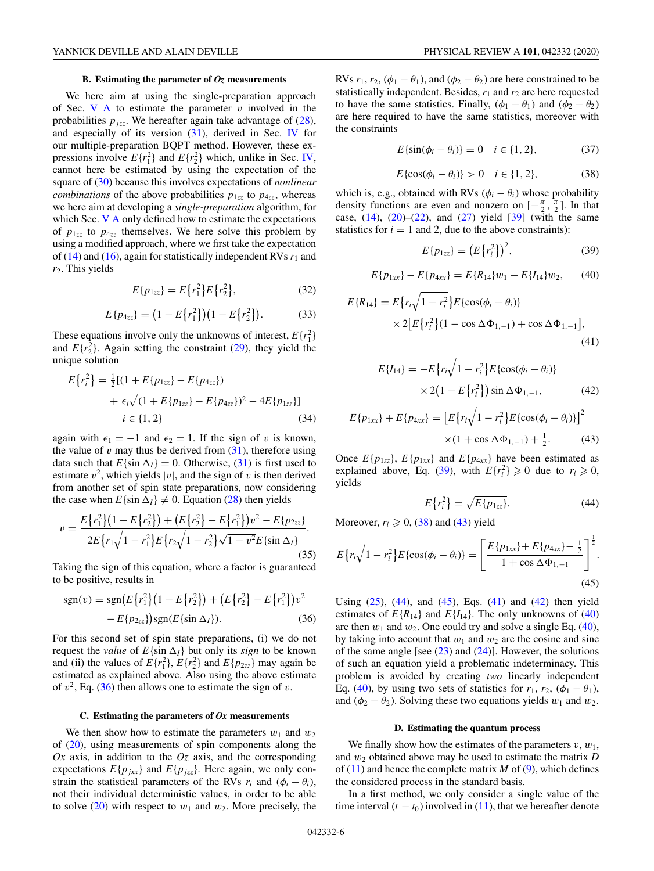#### **B. Estimating the parameter of** *Oz* **measurements**

We here aim at using the single-preparation approach of Sec. V A to estimate the parameter *v* involved in the probabilities  $p_{jzz}$ . We hereafter again take advantage of (28), and especially of its version  $(31)$ , derived in Sec. IV for our multiple-preparation BQPT method. However, these expressions involve  $E\{r_1^2\}$  and  $E\{r_2^2\}$  which, unlike in Sec. IV, cannot here be estimated by using the expectation of the square of (30) because this involves expectations of *nonlinear combinations* of the above probabilities  $p_{1zz}$  to  $p_{4zz}$ , whereas we here aim at developing a *single-preparation* algorithm, for which Sec. V A only defined how to estimate the expectations of  $p_{1zz}$  to  $p_{4zz}$  themselves. We here solve this problem by using a modified approach, where we first take the expectation of  $(14)$  and  $(16)$ , again for statistically independent RVs  $r_1$  and *r*2. This yields

$$
E\{p_{1zz}\} = E\{r_1^2\}E\{r_2^2\},\tag{32}
$$

$$
E\{p_{4zz}\} = (1 - E\{r_1^2\})(1 - E\{r_2^2\}).
$$
 (33)

These equations involve only the unknowns of interest,  $E\{r_1^2\}$ and  $E\{r_2^2\}$ . Again setting the constraint (29), they yield the unique solution

$$
E\{r_i^2\} = \frac{1}{2}[(1 + E\{p_{1zz}\} - E\{p_{4zz}\})
$$
  
+  $\epsilon_i\sqrt{(1 + E\{p_{1zz}\} - E\{p_{4zz}\})^2 - 4E\{p_{1zz}\}]}$   
 $i \in \{1, 2\}$  (34)

again with  $\epsilon_1 = -1$  and  $\epsilon_2 = 1$ . If the sign of *v* is known, the value of  $v$  may thus be derived from  $(31)$ , therefore using data such that  $E\{\sin \Delta I\} = 0$ . Otherwise, (31) is first used to estimate  $v^2$ , which yields |v|, and the sign of v is then derived from another set of spin state preparations, now considering the case when  $E$ {sin  $\Delta$ <sub>I</sub>}  $\neq$  0. Equation (28) then yields

$$
v = \frac{E\{r_1^2\}(1 - E\{r_2^2\}) + (E\{r_2^2\} - E\{r_1^2\})v^2 - E\{p_{2zz}\}}{2E\{r_1\sqrt{1 - r_1^2}\}E\{r_2\sqrt{1 - r_2^2}\}\sqrt{1 - v^2}E\{\sin \Delta_I\}}.
$$
\n(35)

Taking the sign of this equation, where a factor is guaranteed to be positive, results in

$$
sgn(v) = sgn(E\{r_1^2\}(1 - E\{r_2^2\}) + (E\{r_2^2\} - E\{r_1^2\})v^2 - E\{p_{2zz}\})sgn(E\{\sin \Delta_I\}).
$$
\n(36)

For this second set of spin state preparations, (i) we do not request the *value* of  $E\{\sin \Delta I\}$  but only its *sign* to be known and (ii) the values of  $E\{r_1^2\}$ ,  $E\{r_2^2\}$  and  $E\{p_{2z\bar{z}}\}$  may again be estimated as explained above. Also using the above estimate of  $v^2$ , Eq. (36) then allows one to estimate the sign of *v*.

#### **C. Estimating the parameters of** *Ox* **measurements**

We then show how to estimate the parameters  $w_1$  and  $w_2$ of (20), using measurements of spin components along the *Ox* axis, in addition to the *Oz* axis, and the corresponding expectations  $E\{p_{jxx}\}\$  and  $E\{p_{jzz}\}\$ . Here again, we only constrain the statistical parameters of the RVs  $r_i$  and  $(\phi_i - \theta_i)$ , not their individual deterministic values, in order to be able to solve  $(20)$  with respect to  $w_1$  and  $w_2$ . More precisely, the

RVs  $r_1$ ,  $r_2$ ,  $(\phi_1 - \theta_1)$ , and  $(\phi_2 - \theta_2)$  are here constrained to be statistically independent. Besides,  $r_1$  and  $r_2$  are here requested to have the same statistics. Finally,  $(\phi_1 - \theta_1)$  and  $(\phi_2 - \theta_2)$ are here required to have the same statistics, moreover with the constraints

$$
E\{\sin(\phi_i - \theta_i)\} = 0 \quad i \in \{1, 2\},\tag{37}
$$

$$
E\{\cos(\phi_i - \theta_i)\} > 0 \quad i \in \{1, 2\},
$$
 (38)

which is, e.g., obtained with RVs  $(\phi_i - \theta_i)$  whose probability density functions are even and nonzero on  $[-\frac{\pi}{2}, \frac{\pi}{2}]$ . In that case,  $(14)$ ,  $(20)$ – $(22)$ , and  $(27)$  yield  $[39]$  (with the same statistics for  $i = 1$  and 2, due to the above constraints):

$$
E\{p_{1zz}\} = (E\{r_i^2\})^2,\tag{39}
$$

$$
E\{p_{1xx}\} - E\{p_{4xx}\} = E\{R_{14}\}w_1 - E\{I_{14}\}w_2, \qquad (40)
$$

$$
E\{R_{14}\} = E\{r_i\sqrt{1 - r_i^2}\}E\{\cos(\phi_i - \theta_i)\}\
$$
  
 
$$
\times 2[E\{r_i^2\}(1 - \cos\Delta\Phi_{1,-1}) + \cos\Delta\Phi_{1,-1}],
$$
 (41)

$$
E\{I_{14}\} = -E\{r_i\sqrt{1 - r_i^2}\}E\{\cos(\phi_i - \theta_i)\}\
$$
  
 
$$
\times 2(1 - E\{r_i^2\})\sin \Delta \Phi_{1,-1},
$$
 (42)

$$
E\{p_{1xx}\} + E\{p_{4xx}\} = \left[E\{r_i\sqrt{1 - r_i^2}\}E\{\cos(\phi_i - \theta_i)\}\right]^2
$$
  
×(1 + cos  $\Delta \Phi_{1,-1}$ ) +  $\frac{1}{2}$ . (43)

Once  $E\{p_{1zz}\}, E\{p_{1xx}\}\$  and  $E\{p_{4xx}\}\$  have been estimated as explained above, Eq. (39), with  $E\{r_i^2\} \geq 0$  due to  $r_i \geq 0$ , yields

$$
E\left\{r_i^2\right\} = \sqrt{E\{p_{1zz}\}}.\tag{44}
$$

Moreover,  $r_i \geqslant 0$ , (38) and (43) yield

$$
E\{r_i\sqrt{1-r_i^2}\}E\{\cos(\phi_i-\theta_i)\}=\left[\frac{E\{p_{1xx}\}+E\{p_{4xx}\}-\frac{1}{2}}{1+\cos\Delta\Phi_{1,-1}}\right]^{\frac{1}{2}}.\tag{45}
$$

Using  $(25)$ ,  $(44)$ , and  $(45)$ , Eqs.  $(41)$  and  $(42)$  then yield estimates of  $E\{R_{14}\}\$  and  $E\{I_{14}\}\$ . The only unknowns of (40) are then  $w_1$  and  $w_2$ . One could try and solve a single Eq. (40), by taking into account that  $w_1$  and  $w_2$  are the cosine and sine of the same angle [see  $(23)$  and  $(24)$ ]. However, the solutions of such an equation yield a problematic indeterminacy. This problem is avoided by creating *two* linearly independent Eq. (40), by using two sets of statistics for  $r_1$ ,  $r_2$ , ( $\phi_1 - \theta_1$ ), and  $(\phi_2 - \theta_2)$ . Solving these two equations yields  $w_1$  and  $w_2$ .

## **D. Estimating the quantum process**

We finally show how the estimates of the parameters  $v, w_1$ , and *w*<sup>2</sup> obtained above may be used to estimate the matrix *D* of  $(11)$  and hence the complete matrix *M* of  $(9)$ , which defines the considered process in the standard basis.

In a first method, we only consider a single value of the time interval  $(t - t_0)$  involved in (11), that we hereafter denote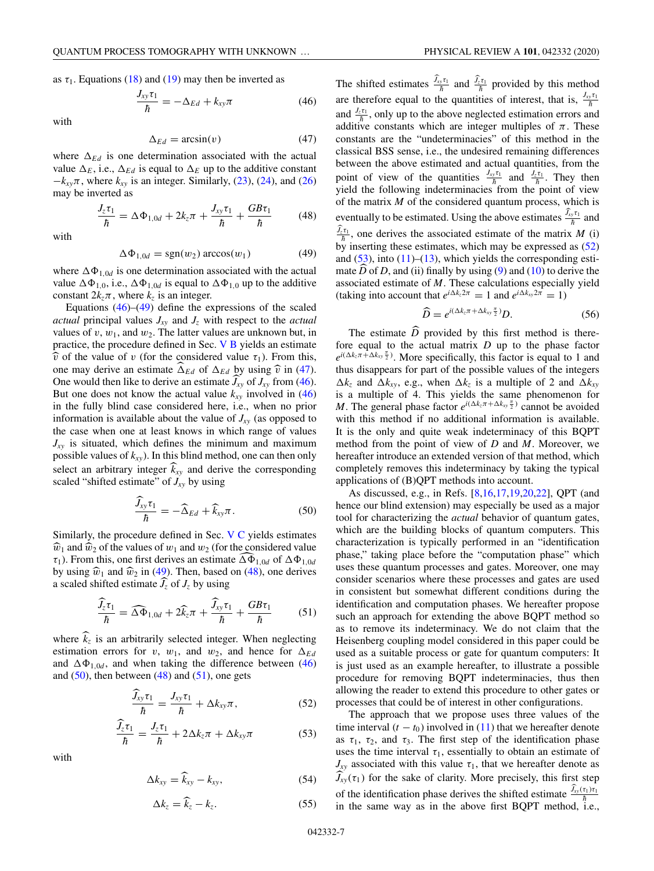$$
\frac{J_{xy}\tau_1}{\hbar} = -\Delta_{Ed} + k_{xy}\pi \tag{46}
$$

with

$$
\Delta_{Ed} = \arcsin(v) \tag{47}
$$

where  $\Delta_{Ed}$  is one determination associated with the actual value  $\Delta_E$ , i.e.,  $\Delta_{Ed}$  is equal to  $\Delta_E$  up to the additive constant  $-k_{xy}\pi$ , where  $k_{xy}$  is an integer. Similarly, (23), (24), and (26) may be inverted as

$$
\frac{J_z \tau_1}{\hbar} = \Delta \Phi_{1,0d} + 2k_z \pi + \frac{J_{xy} \tau_1}{\hbar} + \frac{GB \tau_1}{\hbar} \tag{48}
$$

with

$$
\Delta \Phi_{1,0d} = \text{sgn}(w_2) \arccos(w_1) \tag{49}
$$

where  $\Delta \Phi_{1,0d}$  is one determination associated with the actual value  $\Delta \Phi_{1,0}$ , i.e.,  $\Delta \Phi_{1,0d}$  is equal to  $\Delta \Phi_{1,0}$  up to the additive constant  $2k_z\pi$ , where  $k_z$  is an integer.

Equations  $(46)$ – $(49)$  define the expressions of the scaled *actual* principal values *Jxy* and *Jz* with respect to the *actual* values of  $v, w_1$ , and  $w_2$ . The latter values are unknown but, in practice, the procedure defined in Sec. V B yields an estimate  $\hat{v}$  of the value of *v* (for the considered value  $\tau_1$ ). From this, one may derive an estimate  $\widehat{\Delta}_{Ed}$  of  $\Delta_{Ed}$  by using  $\widehat{v}$  in (47). One would then like to derive an estimate  $J_{xy}$  of  $J_{xy}$  from (46). But one does not know the actual value  $k_{xy}$  involved in  $(46)$ in the fully blind case considered here, i.e., when no prior information is available about the value of  $J_{xy}$  (as opposed to the case when one at least knows in which range of values  $J_{xy}$  is situated, which defines the minimum and maximum possible values of *kxy*). In this blind method, one can then only select an arbitrary integer  $k_{xy}$  and derive the corresponding scaled "shifted estimate" of  $J_{xy}$  by using

$$
\frac{\widehat{J}_{xy}\tau_1}{\hbar} = -\widehat{\Delta}_{Ed} + \widehat{k}_{xy}\pi.
$$
 (50)

Similarly, the procedure defined in Sec. V C yields estimates  $\widehat{w}_1$  and  $\widehat{w}_2$  of the values of  $w_1$  and  $w_2$  (for the considered value  $\tau_1$ ). From this, one first derives an estimate  $\Delta \Phi_{1,0d}$  of  $\Delta \Phi_{1,0d}$ by using  $\hat{w}_1$  and  $\hat{w}_2$  in (49). Then, based on (48), one derives a scaled shifted estimate  $J_z$  of  $J_z$  by using

$$
\frac{\widehat{J}_z \tau_1}{\hbar} = \widehat{\Delta \Phi}_{1,0d} + 2\widehat{k}_z \pi + \frac{\widehat{J}_{xy} \tau_1}{\hbar} + \frac{GB \tau_1}{\hbar} \tag{51}
$$

where  $\widehat{k}_z$  is an arbitrarily selected integer. When neglecting estimation errors for *v*, *w*<sub>1</sub>, and *w*<sub>2</sub>, and hence for  $\Delta_{Ed}$ and  $\Delta \Phi_{1,0d}$ , and when taking the difference between (46) and  $(50)$ , then between  $(48)$  and  $(51)$ , one gets

$$
\frac{\tilde{J}_{xy}\tau_1}{\hbar} = \frac{J_{xy}\tau_1}{\hbar} + \Delta k_{xy}\pi, \qquad (52)
$$

$$
\frac{\widehat{J}_z \tau_1}{\hbar} = \frac{J_z \tau_1}{\hbar} + 2\Delta k_z \pi + \Delta k_{xy} \pi \tag{53}
$$

with

$$
\Delta k_{xy} = \widehat{k}_{xy} - k_{xy}, \tag{54}
$$

$$
\Delta k_z = \widehat{k}_z - k_z. \tag{55}
$$

The shifted estimates  $\frac{\bar{J}_{xy}\tau_1}{\hbar}$  and  $\frac{\bar{J}_{z}\tau_1}{\hbar}$  provided by this method are therefore equal to the quantities of interest, that is,  $\frac{J_{xy}\tau_1}{\hbar}$ 

and  $\frac{J_z \tau_1}{\hbar}$ , only up to the above neglected estimation errors and additive constants which are integer multiples of  $\pi$ . These constants are the "undeterminacies" of this method in the classical BSS sense, i.e., the undesired remaining differences between the above estimated and actual quantities, from the point of view of the quantities  $\frac{J_{xy}\tau_1}{\hbar}$  and  $\frac{J_z\tau_1}{\hbar}$ . They then yield the following indeterminacies from the point of view of the matrix  $M$  of the considered quantum process, which is eventually to be estimated. Using the above estimates  $\frac{J_{xy}\tau_1}{\hbar}$  and  $J_z \over h$ , one derives the associated estimate of the matrix *M* (i) by inserting these estimates, which may be expressed as (52) and  $(53)$ , into  $(11)$ – $(13)$ , which yields the corresponding estimate  $\overline{D}$  of  $\overline{D}$ , and (ii) finally by using (9) and (10) to derive the associated estimate of *M*. These calculations especially yield (taking into account that  $e^{i\Delta k_z 2\pi} = 1$  and  $e^{i\Delta k_{xy} 2\pi} = 1$ )

$$
\widehat{D} = e^{i(\Delta k_z \pi + \Delta k_{xy} \frac{\pi}{2})} D. \tag{56}
$$

The estimate  $\overline{D}$  provided by this first method is therefore equal to the actual matrix *D* up to the phase factor  $e^{i(\Delta k_z \pi + \Delta k_{xy} \frac{\pi}{2})}$ . More specifically, this factor is equal to 1 and thus disappears for part of the possible values of the integers  $\Delta k_z$  and  $\Delta k_{xy}$ , e.g., when  $\Delta k_z$  is a multiple of 2 and  $\Delta k_{xy}$ is a multiple of 4. This yields the same phenomenon for *M*. The general phase factor  $e^{i(\Delta k_z \pi + \Delta k_{xy} \frac{\pi}{2})}$  cannot be avoided with this method if no additional information is available. It is the only and quite weak indeterminacy of this BQPT method from the point of view of *D* and *M*. Moreover, we hereafter introduce an extended version of that method, which completely removes this indeterminacy by taking the typical applications of (B)QPT methods into account.

As discussed, e.g., in Refs. [8,16,17,19,20,22], QPT (and hence our blind extension) may especially be used as a major tool for characterizing the *actual* behavior of quantum gates, which are the building blocks of quantum computers. This characterization is typically performed in an "identification phase," taking place before the "computation phase" which uses these quantum processes and gates. Moreover, one may consider scenarios where these processes and gates are used in consistent but somewhat different conditions during the identification and computation phases. We hereafter propose such an approach for extending the above BQPT method so as to remove its indeterminacy. We do not claim that the Heisenberg coupling model considered in this paper could be used as a suitable process or gate for quantum computers: It is just used as an example hereafter, to illustrate a possible procedure for removing BQPT indeterminacies, thus then allowing the reader to extend this procedure to other gates or processes that could be of interest in other configurations.

The approach that we propose uses three values of the time interval  $(t - t_0)$  involved in (11) that we hereafter denote as  $\tau_1$ ,  $\tau_2$ , and  $\tau_3$ . The first step of the identification phase uses the time interval  $\tau_1$ , essentially to obtain an estimate of  $J_{xy}$  associated with this value  $\tau_1$ , that we hereafter denote as  $J_{xy}(\tau_1)$  for the sake of clarity. More precisely, this first step of the identification phase derives the shifted estimate  $\frac{\overline{J_{xy}(\tau_1)\tau_1}}{\hbar}$ in the same way as in the above first BQPT method, i.e.,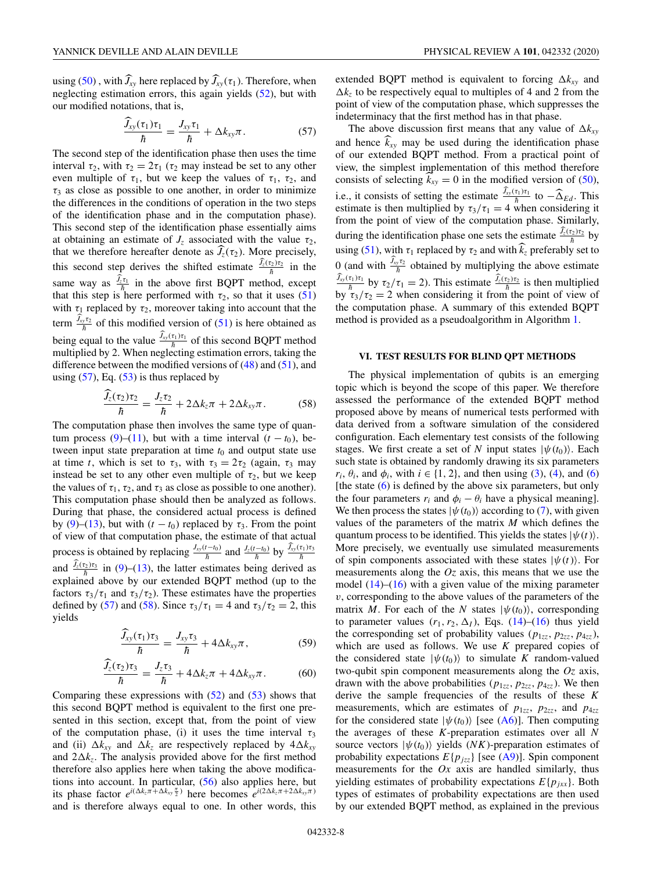using (50), with  $J_{xy}$  here replaced by  $J_{xy}(\tau_1)$ . Therefore, when neglecting estimation errors, this again yields (52), but with our modified notations, that is,

$$
\frac{\tilde{J}_{xy}(\tau_1)\tau_1}{\hbar} = \frac{J_{xy}\tau_1}{\hbar} + \Delta k_{xy}\pi.
$$
 (57)

The second step of the identification phase then uses the time interval  $\tau_2$ , with  $\tau_2 = 2\tau_1$  ( $\tau_2$  may instead be set to any other even multiple of  $\tau_1$ , but we keep the values of  $\tau_1$ ,  $\tau_2$ , and  $\tau_3$  as close as possible to one another, in order to minimize the differences in the conditions of operation in the two steps of the identification phase and in the computation phase). This second step of the identification phase essentially aims at obtaining an estimate of  $J_z$  associated with the value  $\tau_2$ , that we therefore hereafter denote as  $J_z(\tau_2)$ . More precisely, this second step derives the shifted estimate  $\frac{J_z(\tau_2)\tau_2}{h}$  in the same way as  $\frac{J_z \tau_1}{\hbar}$  in the above first BQPT method, except that this step is here performed with  $\tau_2$ , so that it uses (51) with  $\tau_1$  replaced by  $\tau_2$ , moreover taking into account that the term  $\frac{\tilde{J}_{xy}\tau_2}{\hbar}$  of this modified version of (51) is here obtained as being equal to the value  $\frac{J_{xy}(\tau_1)\tau_1}{\hbar}$  of this second BQPT method multiplied by 2. When neglecting estimation errors, taking the difference between the modified versions of  $(48)$  and  $(51)$ , and using  $(57)$ , Eq.  $(53)$  is thus replaced by

$$
\frac{\widehat{J}_z(\tau_2)\tau_2}{\hbar} = \frac{J_z\tau_2}{\hbar} + 2\Delta k_z \pi + 2\Delta k_{xy}\pi. \tag{58}
$$

The computation phase then involves the same type of quantum process (9)–(11), but with a time interval  $(t - t_0)$ , between input state preparation at time  $t_0$  and output state use at time *t*, which is set to  $\tau_3$ , with  $\tau_3 = 2\tau_2$  (again,  $\tau_3$  may instead be set to any other even multiple of  $\tau_2$ , but we keep the values of  $\tau_1$ ,  $\tau_2$ , and  $\tau_3$  as close as possible to one another). This computation phase should then be analyzed as follows. During that phase, the considered actual process is defined by (9)–(13), but with  $(t - t_0)$  replaced by  $\tau_3$ . From the point of view of that computation phase, the estimate of that actual process is obtained by replacing  $\frac{J_{xy}(t-t_0)}{\hbar}$  and  $\frac{J_z(t-t_0)}{\hbar}$  by  $\frac{\hat{J}_{xy}(t_1)\tau_3}{\hbar}$ and  $\frac{J_z(\tau_2)\tau_3}{\hbar}$  in (9)–(13), the latter estimates being derived as explained above by our extended BQPT method (up to the factors  $\tau_3/\tau_1$  and  $\tau_3/\tau_2$ ). These estimates have the properties defined by (57) and (58). Since  $\tau_3/\tau_1 = 4$  and  $\tau_3/\tau_2 = 2$ , this yields

$$
\frac{\widehat{J}_{xy}(\tau_1)\tau_3}{\hbar} = \frac{J_{xy}\tau_3}{\hbar} + 4\Delta k_{xy}\pi, \qquad (59)
$$

$$
\frac{\widehat{J}_z(\tau_2)\tau_3}{\hbar} = \frac{J_z\tau_3}{\hbar} + 4\Delta k_z \pi + 4\Delta k_{xy}\pi.
$$
 (60)

Comparing these expressions with  $(52)$  and  $(53)$  shows that this second BQPT method is equivalent to the first one presented in this section, except that, from the point of view of the computation phase, (i) it uses the time interval  $\tau_3$ and (ii)  $\Delta k_{xy}$  and  $\Delta k_z$  are respectively replaced by  $4\Delta k_{xy}$ and  $2\Delta k_z$ . The analysis provided above for the first method therefore also applies here when taking the above modifications into account. In particular, (56) also applies here, but its phase factor  $e^{i(\Delta k_z \pi + \Delta k_{xy} \frac{\pi}{2})}$  here becomes  $e^{i(2\Delta k_z \pi + 2\Delta k_{xy}\pi)}$ and is therefore always equal to one. In other words, this extended BQPT method is equivalent to forcing  $\Delta k_{xy}$  and  $\Delta k_z$  to be respectively equal to multiples of 4 and 2 from the point of view of the computation phase, which suppresses the indeterminacy that the first method has in that phase.

The above discussion first means that any value of  $\Delta k_{xy}$ and hence  $\widehat{k}_{xy}$  may be used during the identification phase of our extended BQPT method. From a practical point of view, the simplest implementation of this method therefore consists of selecting  $k_{xy} = 0$  in the modified version of (50), i.e., it consists of setting the estimate  $\frac{J_{xy}(\tau_1)\tau_1}{\hbar}$  to  $-\widehat{\Delta}_{Ed}$ . This estimate is then multiplied by  $\tau_3/\tau_1 = 4$  when considering it from the point of view of the computation phase. Similarly, during the identification phase one sets the estimate  $\frac{\overline{J_z(\tau_2)\tau_2}}{\hbar}$  by using (51), with  $\tau_1$  replaced by  $\tau_2$  and with  $k_z$  preferably set to 0 (and with  $\frac{J_{xy}\tau_2}{\hbar}$  obtained by multiplying the above estimate  $\frac{\partial f_x(\tau_1)\tau_1}{\partial h}$  by  $\tau_2/\tau_1 = 2$ ). This estimate  $\frac{\partial f_x(\tau_2)\tau_2}{\partial h}$  is then multiplied by  $\tau_3/\tau_2 = 2$  when considering it from the point of view of the computation phase. A summary of this extended BQPT method is provided as a pseudoalgorithm in Algorithm 1.

#### **VI. TEST RESULTS FOR BLIND QPT METHODS**

The physical implementation of qubits is an emerging topic which is beyond the scope of this paper. We therefore assessed the performance of the extended BQPT method proposed above by means of numerical tests performed with data derived from a software simulation of the considered configuration. Each elementary test consists of the following stages. We first create a set of *N* input states  $|\psi(t_0)\rangle$ . Each such state is obtained by randomly drawing its six parameters  $r_i$ ,  $\theta_i$ , and  $\phi_i$ , with  $i \in \{1, 2\}$ , and then using (3), (4), and (6) [the state (6) is defined by the above six parameters, but only the four parameters  $r_i$  and  $\phi_i - \theta_i$  have a physical meaning]. We then process the states  $|\psi(t_0)\rangle$  according to (7), with given values of the parameters of the matrix *M* which defines the quantum process to be identified. This yields the states  $|\psi(t)\rangle$ . More precisely, we eventually use simulated measurements of spin components associated with these states  $|\psi(t)\rangle$ . For measurements along the *Oz* axis, this means that we use the model  $(14)$ – $(16)$  with a given value of the mixing parameter *v*, corresponding to the above values of the parameters of the matrix *M*. For each of the *N* states  $|\psi(t_0)\rangle$ , corresponding to parameter values  $(r_1, r_2, \Delta_I)$ , Eqs. (14)–(16) thus yield the corresponding set of probability values  $(p_{1zz}, p_{2zz}, p_{4zz})$ , which are used as follows. We use *K* prepared copies of the considered state  $|\psi(t_0)\rangle$  to simulate *K* random-valued two-qubit spin component measurements along the *Oz* axis, drawn with the above probabilities  $(p_{1zz}, p_{2zz}, p_{4zz})$ . We then derive the sample frequencies of the results of these *K* measurements, which are estimates of  $p_{1zz}$ ,  $p_{2zz}$ , and  $p_{4zz}$ for the considered state  $|\psi(t_0)\rangle$  [see (A6)]. Then computing the averages of these *K*-preparation estimates over all *N* source vectors  $|\psi(t_0)\rangle$  yields (*NK*)-preparation estimates of probability expectations  $E\{p_{izz}\}\$  [see (A9)]. Spin component measurements for the *Ox* axis are handled similarly, thus yielding estimates of probability expectations  $E\{p_{jxx}\}\)$ . Both types of estimates of probability expectations are then used by our extended BQPT method, as explained in the previous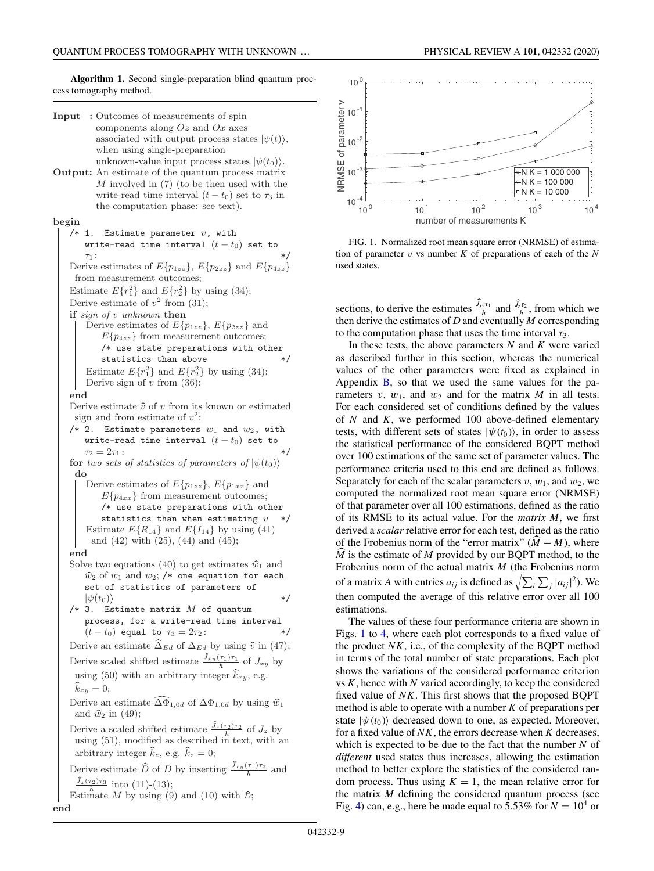**Algorithm 1.** Second single-preparation blind quantum proccess tomography method.

- **Input :** Outcomes of measurements of spin components along  $Oz$  and  $Ox$  axes associated with output process states  $|\psi(t)\rangle$ , when using single-preparation unknown-value input process states  $|\psi(t_0)\rangle$ .
- **Output:** An estimate of the quantum process matrix  $M$  involved in  $(7)$  (to be then used with the write-read time interval  $(t - t_0)$  set to  $\tau_3$  in the computation phase: see text).

## **begin**

/\* 1. Estimate parameter  $v$ , with write-read time interval  $(t - t_0)$  set to  $\tau_1$ :  $\tau_1:$  \*/ Derive estimates of  $E{p_{1zz}}$ ,  $E{p_{2zz}}$  and  $E{p_{4zz}}$ from measurement outcomes; Estimate  $E\{r_1^2\}$  and  $E\{r_2^2\}$  by using (34); Derive estimate of  $v^2$  from (31); **if** *sign of* <sup>v</sup> *unknown* **then** Derive estimates of  $E\{p_{1zz}\}, E\{p_{2zz}\}\$  and  $E{p_{4zz}}$  from measurement outcomes; /\* use state preparations with other statistics than above  $*$ / Estimate  $E\{r_1^2\}$  and  $E\{r_2^2\}$  by using (34); Derive sign of  $v$  from (36);

#### **end**

Derive estimate  $\hat{v}$  of v from its known or estimated sign and from estimate of  $v^2$ ;

- /\* 2. Estimate parameters  $w_1$  and  $w_2$ , with write-read time interval  $(t - t_0)$  set to  $\tau_2 = 2\tau_1:$  \*/
- **for** *two sets of statistics of parameters of*  $|\psi(t_0)\rangle$ **do**
	- Derive estimates of  $E\{p_{1zz}\}, E\{p_{1xx}\}\$  and  $E{p_{4xx}}$  from measurement outcomes; /\* use state preparations with other statistics than when estimating  $v */$ Estimate  $E\{R_{14}\}\$  and  $E\{I_{14}\}\$  by using (41) and (42) with (25), (44) and (45);

#### **end**

- Solve two equations (40) to get estimates  $\hat{w}_1$  and  $\widehat{w}_2$  of  $w_1$  and  $w_2$ ; /\* one equation for each set of statistics of parameters of
- $|\psi(t_0)\rangle$  \*/<br>/\* 3. Estimate matrix *M* of quantum process, for a write-read time interval  $(t - t_0)$  equal to  $\tau_3 = 2\tau_2$ :

Derive an estimate  $\widehat{\Delta}_{Ed}$  of  $\Delta_{Ed}$  by using  $\widehat{v}$  in (47);

Derive scaled shifted estimate  $\frac{\hat{J}_{xy}(\tau_1)\tau_1}{\hbar}$  of  $J_{xy}$  by

using (50) with an arbitrary integer  $\hat{k}_{xy}$ , e.g.  $k_{xy} = 0;$ 

Derive an estimate  $\Delta \Phi_{1,0d}$  of  $\Delta \Phi_{1,0d}$  by using  $\hat{w}_1$ and  $\hat{w}_2$  in (49);

Derive a scaled shifted estimate  $\frac{\hat{J}_z(\tau_2)\tau_2}{h}$  of  $J_z$  by using  $(51)$ , modified as described in text, with an arbitrary integer  $\hat{k}_z$ , e.g.  $\hat{k}_z = 0$ ;

Derive estimate  $\widehat{D}$  of D by inserting  $\frac{\widehat{J}_{xy}(\tau_1)\tau_3}{\hbar}$  and  $\frac{\hat{J}_z(\tau_2)\tau_3}{\hbar}$  into (11)-(13);

Estimate 
$$
M
$$
 by using (9) and (10) with  $\hat{D}$ ; end



FIG. 1. Normalized root mean square error (NRMSE) of estimation of parameter *v* vs number *K* of preparations of each of the *N* used states.

sections, to derive the estimates  $\frac{J_{xy}\tau_1}{\hbar}$  and  $\frac{J_z\tau_2}{\hbar}$ , from which we then derive the estimates of *D* and eventually *M* corresponding to the computation phase that uses the time interval  $\tau_3$ .

In these tests, the above parameters *N* and *K* were varied as described further in this section, whereas the numerical values of the other parameters were fixed as explained in Appendix  $\overline{B}$ , so that we used the same values for the parameters  $v, w_1$ , and  $w_2$  and for the matrix *M* in all tests. For each considered set of conditions defined by the values of *N* and *K*, we performed 100 above-defined elementary tests, with different sets of states  $|\psi(t_0)\rangle$ , in order to assess the statistical performance of the considered BQPT method over 100 estimations of the same set of parameter values. The performance criteria used to this end are defined as follows. Separately for each of the scalar parameters  $v, w_1$ , and  $w_2$ , we computed the normalized root mean square error (NRMSE) of that parameter over all 100 estimations, defined as the ratio of its RMSE to its actual value. For the *matrix M*, we first derived a *scalar* relative error for each test, defined as the ratio of the Frobenius norm of the "error matrix"  $(M - M)$ , where  $\hat{M}$  is the estimate of  $M$  provided by our BOPT method, to the Frobenius norm of the actual matrix *M* (the Frobenius norm of a matrix *A* with entries  $a_{ij}$  is defined as  $\sqrt{\sum_i \sum_j |a_{ij}|^2}$ . We then computed the average of this relative error over all 100 estimations.

The values of these four performance criteria are shown in Figs. 1 to 4, where each plot corresponds to a fixed value of the product *NK*, i.e., of the complexity of the BQPT method in terms of the total number of state preparations. Each plot shows the variations of the considered performance criterion vs *K*, hence with *N* varied accordingly, to keep the considered fixed value of *NK*. This first shows that the proposed BQPT method is able to operate with a number *K* of preparations per state  $|\psi(t_0)\rangle$  decreased down to one, as expected. Moreover, for a fixed value of *NK*, the errors decrease when *K* decreases, which is expected to be due to the fact that the number *N* of *different* used states thus increases, allowing the estimation method to better explore the statistics of the considered random process. Thus using  $K = 1$ , the mean relative error for the matrix *M* defining the considered quantum process (see Fig. 4) can, e.g., here be made equal to  $5.53\%$  for  $N = 10^4$  or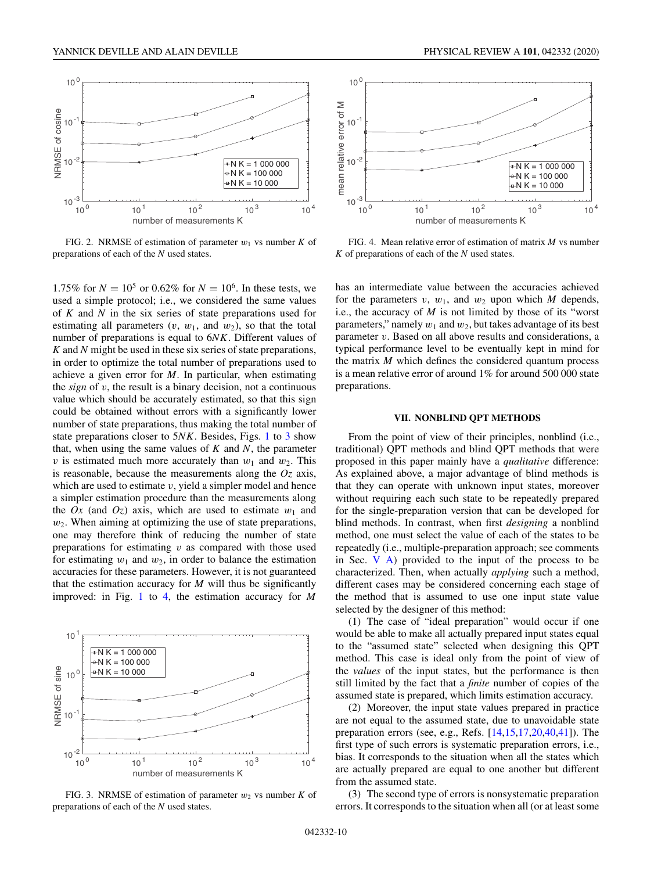

FIG. 2. NRMSE of estimation of parameter  $w_1$  vs number  $K$  of preparations of each of the *N* used states.

1.75% for  $N = 10^5$  or 0.62% for  $N = 10^6$ . In these tests, we used a simple protocol; i.e., we considered the same values of *K* and *N* in the six series of state preparations used for estimating all parameters  $(v, w_1, w_2)$ , so that the total number of preparations is equal to 6*NK*. Different values of *K* and *N* might be used in these six series of state preparations, in order to optimize the total number of preparations used to achieve a given error for *M*. In particular, when estimating the *sign* of *v*, the result is a binary decision, not a continuous value which should be accurately estimated, so that this sign could be obtained without errors with a significantly lower number of state preparations, thus making the total number of state preparations closer to 5*NK*. Besides, Figs. 1 to 3 show that, when using the same values of *K* and *N*, the parameter *v* is estimated much more accurately than  $w_1$  and  $w_2$ . This is reasonable, because the measurements along the *Oz* axis, which are used to estimate *v*, yield a simpler model and hence a simpler estimation procedure than the measurements along the  $Ox$  (and  $Oz$ ) axis, which are used to estimate  $w_1$  and *w*2. When aiming at optimizing the use of state preparations, one may therefore think of reducing the number of state preparations for estimating *v* as compared with those used for estimating  $w_1$  and  $w_2$ , in order to balance the estimation accuracies for these parameters. However, it is not guaranteed that the estimation accuracy for  $M$  will thus be significantly improved: in Fig. 1 to 4, the estimation accuracy for *M*



FIG. 3. NRMSE of estimation of parameter  $w_2$  vs number  $K$  of preparations of each of the *N* used states.



FIG. 4. Mean relative error of estimation of matrix *M* vs number *K* of preparations of each of the *N* used states.

has an intermediate value between the accuracies achieved for the parameters  $v$ ,  $w_1$ , and  $w_2$  upon which  $M$  depends, i.e., the accuracy of  $M$  is not limited by those of its "worst" parameters," namely  $w_1$  and  $w_2$ , but takes advantage of its best parameter *v*. Based on all above results and considerations, a typical performance level to be eventually kept in mind for the matrix *M* which defines the considered quantum process is a mean relative error of around 1% for around 500 000 state preparations.

### **VII. NONBLIND QPT METHODS**

From the point of view of their principles, nonblind (i.e., traditional) QPT methods and blind QPT methods that were proposed in this paper mainly have a *qualitative* difference: As explained above, a major advantage of blind methods is that they can operate with unknown input states, moreover without requiring each such state to be repeatedly prepared for the single-preparation version that can be developed for blind methods. In contrast, when first *designing* a nonblind method, one must select the value of each of the states to be repeatedly (i.e., multiple-preparation approach; see comments in Sec.  $V$  A) provided to the input of the process to be characterized. Then, when actually *applying* such a method, different cases may be considered concerning each stage of the method that is assumed to use one input state value selected by the designer of this method:

(1) The case of "ideal preparation" would occur if one would be able to make all actually prepared input states equal to the "assumed state" selected when designing this QPT method. This case is ideal only from the point of view of the *values* of the input states, but the performance is then still limited by the fact that a *finite* number of copies of the assumed state is prepared, which limits estimation accuracy.

(2) Moreover, the input state values prepared in practice are not equal to the assumed state, due to unavoidable state preparation errors (see, e.g., Refs. [14,15,17,20,40,41]). The first type of such errors is systematic preparation errors, i.e., bias. It corresponds to the situation when all the states which are actually prepared are equal to one another but different from the assumed state.

(3) The second type of errors is nonsystematic preparation errors. It corresponds to the situation when all (or at least some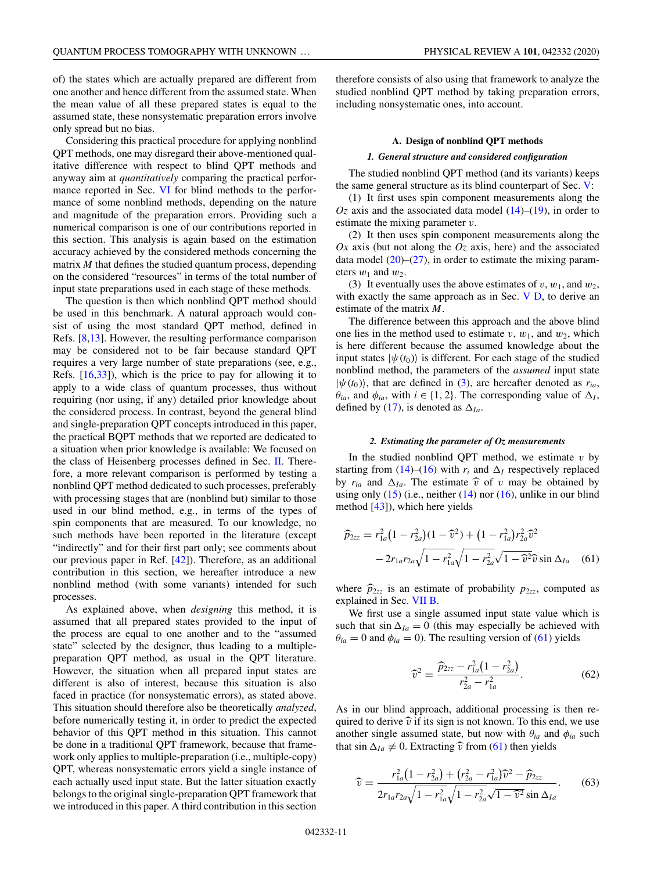of) the states which are actually prepared are different from one another and hence different from the assumed state. When the mean value of all these prepared states is equal to the assumed state, these nonsystematic preparation errors involve only spread but no bias.

Considering this practical procedure for applying nonblind QPT methods, one may disregard their above-mentioned qualitative difference with respect to blind QPT methods and anyway aim at *quantitatively* comparing the practical performance reported in Sec. VI for blind methods to the performance of some nonblind methods, depending on the nature and magnitude of the preparation errors. Providing such a numerical comparison is one of our contributions reported in this section. This analysis is again based on the estimation accuracy achieved by the considered methods concerning the matrix *M* that defines the studied quantum process, depending on the considered "resources" in terms of the total number of input state preparations used in each stage of these methods.

The question is then which nonblind QPT method should be used in this benchmark. A natural approach would consist of using the most standard QPT method, defined in Refs. [8,13]. However, the resulting performance comparison may be considered not to be fair because standard QPT requires a very large number of state preparations (see, e.g., Refs. [16,33]), which is the price to pay for allowing it to apply to a wide class of quantum processes, thus without requiring (nor using, if any) detailed prior knowledge about the considered process. In contrast, beyond the general blind and single-preparation QPT concepts introduced in this paper, the practical BQPT methods that we reported are dedicated to a situation when prior knowledge is available: We focused on the class of Heisenberg processes defined in Sec. II. Therefore, a more relevant comparison is performed by testing a nonblind QPT method dedicated to such processes, preferably with processing stages that are (nonblind but) similar to those used in our blind method, e.g., in terms of the types of spin components that are measured. To our knowledge, no such methods have been reported in the literature (except "indirectly" and for their first part only; see comments about our previous paper in Ref. [42]). Therefore, as an additional contribution in this section, we hereafter introduce a new nonblind method (with some variants) intended for such processes.

As explained above, when *designing* this method, it is assumed that all prepared states provided to the input of the process are equal to one another and to the "assumed state" selected by the designer, thus leading to a multiplepreparation QPT method, as usual in the QPT literature. However, the situation when all prepared input states are different is also of interest, because this situation is also faced in practice (for nonsystematic errors), as stated above. This situation should therefore also be theoretically *analyzed*, before numerically testing it, in order to predict the expected behavior of this QPT method in this situation. This cannot be done in a traditional QPT framework, because that framework only applies to multiple-preparation (i.e., multiple-copy) QPT, whereas nonsystematic errors yield a single instance of each actually used input state. But the latter situation exactly belongs to the original single-preparation QPT framework that we introduced in this paper. A third contribution in this section

therefore consists of also using that framework to analyze the studied nonblind QPT method by taking preparation errors, including nonsystematic ones, into account.

#### **A. Design of nonblind QPT methods**

## *1. General structure and considered configuration*

The studied nonblind QPT method (and its variants) keeps the same general structure as its blind counterpart of Sec. V:

(1) It first uses spin component measurements along the  $Oz$  axis and the associated data model  $(14)$ – $(19)$ , in order to estimate the mixing parameter *v*.

(2) It then uses spin component measurements along the *Ox* axis (but not along the *Oz* axis, here) and the associated data model  $(20)$ – $(27)$ , in order to estimate the mixing parameters  $w_1$  and  $w_2$ .

(3) It eventually uses the above estimates of  $v, w_1$ , and  $w_2$ , with exactly the same approach as in Sec.  $V D$ , to derive an estimate of the matrix *M*.

The difference between this approach and the above blind one lies in the method used to estimate  $v, w_1$ , and  $w_2$ , which is here different because the assumed knowledge about the input states  $|\psi(t_0)\rangle$  is different. For each stage of the studied nonblind method, the parameters of the *assumed* input state  $|\psi(t_0)\rangle$ , that are defined in (3), are hereafter denoted as  $r_{ia}$ ,  $\theta_{ia}$ , and  $\phi_{ia}$ , with  $i \in \{1, 2\}$ . The corresponding value of  $\Delta_I$ , defined by (17), is denoted as  $\Delta_{Ia}$ .

## *2. Estimating the parameter of Oz measurements*

In the studied nonblind QPT method, we estimate  $v$  by starting from (14)–(16) with  $r_i$  and  $\Delta_l$  respectively replaced by  $r_{ia}$  and  $\Delta_{Ia}$ . The estimate  $\hat{v}$  of *v* may be obtained by using only  $(15)$  (i.e., neither  $(14)$  nor  $(16)$ , unlike in our blind method [43]), which here yields

$$
\widehat{p}_{2zz} = r_{1a}^2 (1 - r_{2a}^2)(1 - \widehat{v}^2) + (1 - r_{1a}^2) r_{2a}^2 \widehat{v}^2 \n- 2r_{1a}r_{2a}\sqrt{1 - r_{1a}^2}\sqrt{1 - r_{2a}^2}\sqrt{1 - \widehat{v}^2}\widehat{v}\sin \Delta_{Ia}
$$
\n(61)

where  $\widehat{p}_{2zz}$  is an estimate of probability  $p_{2zz}$ , computed as explained in Sec. VII B.

We first use a single assumed input state value which is such that  $\sin \Delta_{Ia} = 0$  (this may especially be achieved with  $\theta_{ia} = 0$  and  $\phi_{ia} = 0$ ). The resulting version of (61) yields

$$
\widehat{v}^2 = \frac{\widehat{p}_{2zz} - r_{1a}^2 (1 - r_{2a}^2)}{r_{2a}^2 - r_{1a}^2}.
$$
\n(62)

As in our blind approach, additional processing is then required to derive  $\hat{v}$  if its sign is not known. To this end, we use another single assumed state, but now with  $\theta_{ia}$  and  $\phi_{ia}$  such that sin  $\Delta_{Ia} \neq 0$ . Extracting  $\hat{v}$  from (61) then yields

$$
\widehat{v} = \frac{r_{1a}^2 (1 - r_{2a}^2) + (r_{2a}^2 - r_{1a}^2) \widehat{v}^2 - \widehat{p}_{2zz}}{2r_{1a}r_{2a}\sqrt{1 - r_{1a}^2}\sqrt{1 - r_{2a}^2}\sqrt{1 - \widehat{v}^2}\sin \Delta_{Ia}}.
$$
(63)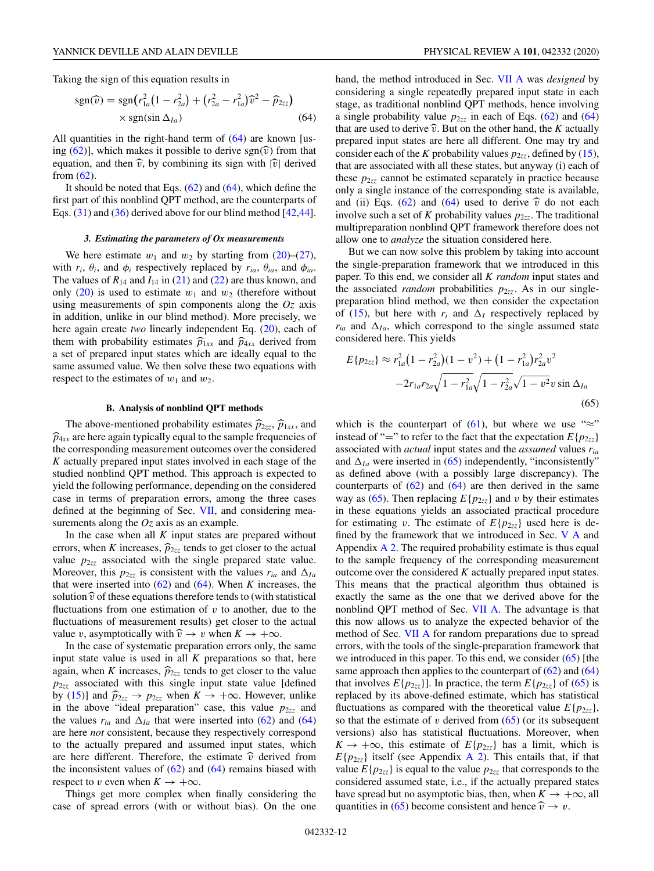Taking the sign of this equation results in

$$
\text{sgn}(\widehat{v}) = \text{sgn}(r_{1a}^2(1 - r_{2a}^2) + (r_{2a}^2 - r_{1a}^2)\widehat{v}^2 - \widehat{p}_{2zz})
$$
  
× sgn(sin  $\Delta_{Ia}$ ) (64)

All quantities in the right-hand term of  $(64)$  are known [using  $(62)$ ], which makes it possible to derive sgn $(\hat{v})$  from that equation, and then  $\hat{v}$ , by combining its sign with  $|\hat{v}|$  derived from (62).

It should be noted that Eqs.  $(62)$  and  $(64)$ , which define the first part of this nonblind QPT method, are the counterparts of Eqs. (31) and (36) derived above for our blind method [42,44].

#### *3. Estimating the parameters of Ox measurements*

We here estimate  $w_1$  and  $w_2$  by starting from (20)–(27), with  $r_i$ ,  $\theta_i$ , and  $\phi_i$  respectively replaced by  $r_{ia}$ ,  $\theta_{ia}$ , and  $\phi_{ia}$ . The values of  $R_{14}$  and  $I_{14}$  in (21) and (22) are thus known, and only  $(20)$  is used to estimate  $w_1$  and  $w_2$  (therefore without using measurements of spin components along the *Oz* axis in addition, unlike in our blind method). More precisely, we here again create *two* linearly independent Eq. (20), each of them with probability estimates  $\hat{p}_{1xx}$  and  $\hat{p}_{4xx}$  derived from a set of prepared input states which are ideally equal to the same assumed value. We then solve these two equations with respect to the estimates of  $w_1$  and  $w_2$ .

#### **B. Analysis of nonblind QPT methods**

The above-mentioned probability estimates  $\widehat{p}_{2zz}$ ,  $\widehat{p}_{1xx}$ , and  $\widehat{p}_{4xx}$  are here again typically equal to the sample frequencies of the corresponding measurement outcomes over the considered *K* actually prepared input states involved in each stage of the studied nonblind QPT method. This approach is expected to yield the following performance, depending on the considered case in terms of preparation errors, among the three cases defined at the beginning of Sec. VII, and considering measurements along the *Oz* axis as an example.

In the case when all  $K$  input states are prepared without errors, when *K* increases,  $\hat{p}_{2z\bar{z}}$  tends to get closer to the actual value  $p_{2zz}$  associated with the single prepared state value. Moreover, this  $p_{2zz}$  is consistent with the values  $r_{ia}$  and  $\Delta_{Ia}$ that were inserted into (62) and (64). When *K* increases, the solution  $\hat{v}$  of these equations therefore tends to (with statistical fluctuations from one estimation of *v* to another, due to the fluctuations of measurement results) get closer to the actual value *v*, asymptotically with  $\hat{v} \rightarrow v$  when  $K \rightarrow +\infty$ .

In the case of systematic preparation errors only, the same input state value is used in all *K* preparations so that, here again, when *K* increases,  $\hat{p}_{2zz}$  tends to get closer to the value *p*2*zz* associated with this single input state value [defined by (15)] and  $\hat{p}_{2z\bar{z}} \rightarrow p_{2z\bar{z}}$  when  $K \rightarrow +\infty$ . However, unlike in the above "ideal preparation" case, this value  $p_{2zz}$  and the values  $r_{ia}$  and  $\Delta_{Ia}$  that were inserted into (62) and (64) are here *not* consistent, because they respectively correspond to the actually prepared and assumed input states, which are here different. Therefore, the estimate  $\hat{v}$  derived from the inconsistent values of  $(62)$  and  $(64)$  remains biased with respect to *v* even when  $K \to +\infty$ .

Things get more complex when finally considering the case of spread errors (with or without bias). On the one hand, the method introduced in Sec. VII A was *designed* by considering a single repeatedly prepared input state in each stage, as traditional nonblind QPT methods, hence involving a single probability value  $p_{2zz}$  in each of Eqs. (62) and (64) that are used to derive  $\hat{v}$ . But on the other hand, the *K* actually prepared input states are here all different. One may try and consider each of the *K* probability values  $p_{27}$ , defined by (15), that are associated with all these states, but anyway (i) each of these  $p_{2zz}$  cannot be estimated separately in practice because only a single instance of the corresponding state is available, and (ii) Eqs.  $(62)$  and  $(64)$  used to derive  $\hat{v}$  do not each involve such a set of *K* probability values  $p_{2zz}$ . The traditional multipreparation nonblind QPT framework therefore does not allow one to *analyze* the situation considered here.

But we can now solve this problem by taking into account the single-preparation framework that we introduced in this paper. To this end, we consider all *K random* input states and the associated *random* probabilities  $p_{2zz}$ . As in our singlepreparation blind method, we then consider the expectation of (15), but here with  $r_i$  and  $\Delta_I$  respectively replaced by  $r_{ia}$  and  $\Delta_{Ia}$ , which correspond to the single assumed state considered here. This yields

$$
E\{p_{2zz}\} \approx r_{1a}^2 (1 - r_{2a}^2)(1 - v^2) + (1 - r_{1a}^2)r_{2a}^2 v^2
$$

$$
-2r_{1a}r_{2a}\sqrt{1 - r_{1a}^2}\sqrt{1 - r_{2a}^2}\sqrt{1 - v^2}v\sin\Delta_{Ia}
$$
(65)

which is the counterpart of (61), but where we use " $\approx$ " instead of "=" to refer to the fact that the expectation  $E\{p_{2zz}\}$ associated with *actual* input states and the *assumed* values *ria* and  $\Delta_{Ia}$  were inserted in (65) independently, "inconsistently" as defined above (with a possibly large discrepancy). The counterparts of  $(62)$  and  $(64)$  are then derived in the same way as (65). Then replacing  $E\{p_{2zz}\}\$  and *v* by their estimates in these equations yields an associated practical procedure for estimating *v*. The estimate of  $E\{p_{2z\bar{z}}\}$  used here is defined by the framework that we introduced in Sec. V A and Appendix  $\overline{A}$  2. The required probability estimate is thus equal to the sample frequency of the corresponding measurement outcome over the considered *K* actually prepared input states. This means that the practical algorithm thus obtained is exactly the same as the one that we derived above for the nonblind QPT method of Sec. VII A. The advantage is that this now allows us to analyze the expected behavior of the method of Sec. VII A for random preparations due to spread errors, with the tools of the single-preparation framework that we introduced in this paper. To this end, we consider  $(65)$  [the same approach then applies to the counterpart of  $(62)$  and  $(64)$ that involves  $E\{p_{2zz}\}\$ . In practice, the term  $E\{p_{2zz}\}\$  of (65) is replaced by its above-defined estimate, which has statistical fluctuations as compared with the theoretical value  $E\{p_{2z\bar{z}}\}$ , so that the estimate of  $v$  derived from  $(65)$  (or its subsequent versions) also has statistical fluctuations. Moreover, when  $K \rightarrow +\infty$ , this estimate of  $E\{p_{2zz}\}\$  has a limit, which is  $E\{p_{2zz}\}\$ itself (see Appendix A 2). This entails that, if that value  $E\{p_{2zz}\}\$ is equal to the value  $p_{2zz}$  that corresponds to the considered assumed state, i.e., if the actually prepared states have spread but no asymptotic bias, then, when  $K \to +\infty$ , all quantities in (65) become consistent and hence  $\hat{v} \rightarrow v$ .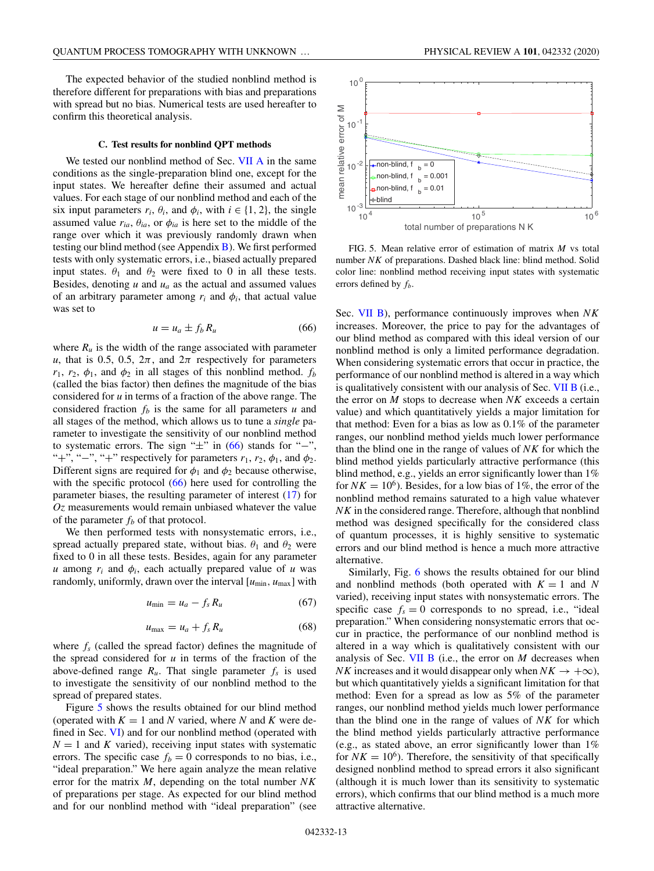The expected behavior of the studied nonblind method is therefore different for preparations with bias and preparations with spread but no bias. Numerical tests are used hereafter to confirm this theoretical analysis.

#### **C. Test results for nonblind QPT methods**

We tested our nonblind method of Sec. VII A in the same conditions as the single-preparation blind one, except for the input states. We hereafter define their assumed and actual values. For each stage of our nonblind method and each of the six input parameters  $r_i$ ,  $\theta_i$ , and  $\phi_i$ , with  $i \in \{1, 2\}$ , the single assumed value  $r_{ia}$ ,  $\theta_{ia}$ , or  $\phi_{ia}$  is here set to the middle of the range over which it was previously randomly drawn when testing our blind method (see Appendix B). We first performed tests with only systematic errors, i.e., biased actually prepared input states.  $\theta_1$  and  $\theta_2$  were fixed to 0 in all these tests. Besides, denoting  $u$  and  $u_a$  as the actual and assumed values of an arbitrary parameter among  $r_i$  and  $\phi_i$ , that actual value was set to

$$
u = u_a \pm f_b R_u \tag{66}
$$

where  $R_u$  is the width of the range associated with parameter *u*, that is 0.5, 0.5,  $2\pi$ , and  $2\pi$  respectively for parameters  $r_1$ ,  $r_2$ ,  $\phi_1$ , and  $\phi_2$  in all stages of this nonblind method.  $f_b$ (called the bias factor) then defines the magnitude of the bias considered for *u* in terms of a fraction of the above range. The considered fraction  $f_b$  is the same for all parameters  $u$  and all stages of the method, which allows us to tune a *single* parameter to investigate the sensitivity of our nonblind method to systematic errors. The sign " $\pm$ " in (66) stands for "−", "+", "-", "+" respectively for parameters  $r_1$ ,  $r_2$ ,  $\phi_1$ , and  $\phi_2$ . Different signs are required for  $\phi_1$  and  $\phi_2$  because otherwise, with the specific protocol (66) here used for controlling the parameter biases, the resulting parameter of interest (17) for *Oz* measurements would remain unbiased whatever the value of the parameter  $f_b$  of that protocol.

We then performed tests with nonsystematic errors, i.e., spread actually prepared state, without bias.  $\theta_1$  and  $\theta_2$  were fixed to 0 in all these tests. Besides, again for any parameter *u* among  $r_i$  and  $\phi_i$ , each actually prepared value of *u* was randomly, uniformly, drawn over the interval [ $u_{min}$ ,  $u_{max}$ ] with

$$
u_{\min} = u_a - f_s R_u \tag{67}
$$

$$
u_{\text{max}} = u_a + f_s R_u \tag{68}
$$

where *fs* (called the spread factor) defines the magnitude of the spread considered for *u* in terms of the fraction of the above-defined range  $R_u$ . That single parameter  $f_s$  is used to investigate the sensitivity of our nonblind method to the spread of prepared states.

Figure 5 shows the results obtained for our blind method (operated with  $K = 1$  and *N* varied, where *N* and *K* were defined in Sec. VI) and for our nonblind method (operated with  $N = 1$  and *K* varied), receiving input states with systematic errors. The specific case  $f_b = 0$  corresponds to no bias, i.e., "ideal preparation." We here again analyze the mean relative error for the matrix *M*, depending on the total number *NK* of preparations per stage. As expected for our blind method and for our nonblind method with "ideal preparation" (see



FIG. 5. Mean relative error of estimation of matrix *M* vs total number *NK* of preparations. Dashed black line: blind method. Solid color line: nonblind method receiving input states with systematic errors defined by *fb*.

Sec. VII B), performance continuously improves when *NK* increases. Moreover, the price to pay for the advantages of our blind method as compared with this ideal version of our nonblind method is only a limited performance degradation. When considering systematic errors that occur in practice, the performance of our nonblind method is altered in a way which is qualitatively consistent with our analysis of Sec. VII B (i.e., the error on *M* stops to decrease when *NK* exceeds a certain value) and which quantitatively yields a major limitation for that method: Even for a bias as low as 0.1% of the parameter ranges, our nonblind method yields much lower performance than the blind one in the range of values of *NK* for which the blind method yields particularly attractive performance (this blind method, e.g., yields an error significantly lower than 1% for  $NK = 10^6$ ). Besides, for a low bias of 1%, the error of the nonblind method remains saturated to a high value whatever *NK* in the considered range. Therefore, although that nonblind method was designed specifically for the considered class of quantum processes, it is highly sensitive to systematic errors and our blind method is hence a much more attractive alternative.

Similarly, Fig. 6 shows the results obtained for our blind and nonblind methods (both operated with  $K = 1$  and N varied), receiving input states with nonsystematic errors. The specific case  $f_s = 0$  corresponds to no spread, i.e., "ideal" preparation." When considering nonsystematic errors that occur in practice, the performance of our nonblind method is altered in a way which is qualitatively consistent with our analysis of Sec. VII B (i.e., the error on *M* decreases when *NK* increases and it would disappear only when  $NK \rightarrow +\infty$ ), but which quantitatively yields a significant limitation for that method: Even for a spread as low as 5% of the parameter ranges, our nonblind method yields much lower performance than the blind one in the range of values of *NK* for which the blind method yields particularly attractive performance (e.g., as stated above, an error significantly lower than 1% for  $NK = 10^6$ ). Therefore, the sensitivity of that specifically designed nonblind method to spread errors it also significant (although it is much lower than its sensitivity to systematic errors), which confirms that our blind method is a much more attractive alternative.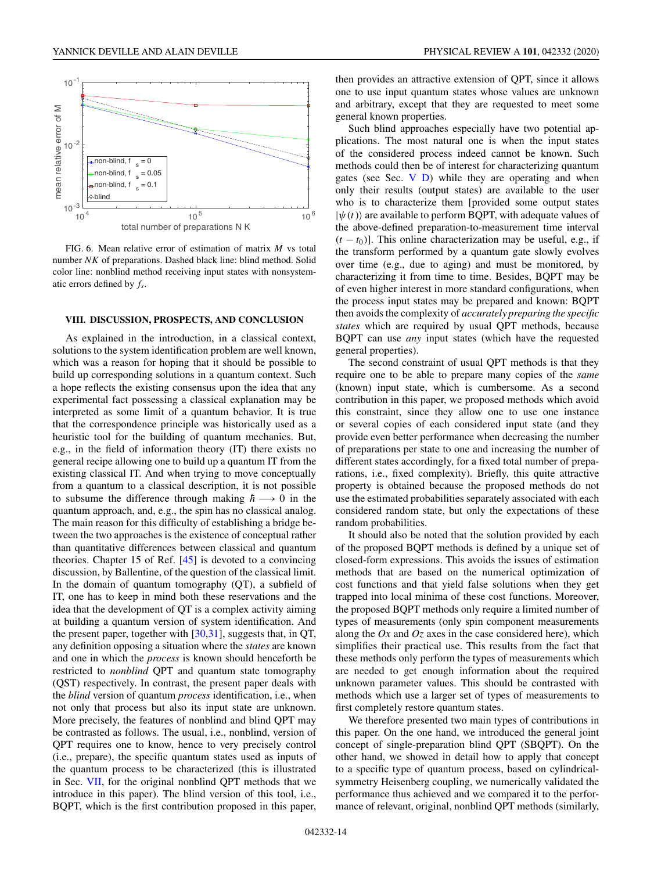

FIG. 6. Mean relative error of estimation of matrix *M* vs total number *NK* of preparations. Dashed black line: blind method. Solid color line: nonblind method receiving input states with nonsystematic errors defined by *fs*.

## **VIII. DISCUSSION, PROSPECTS, AND CONCLUSION**

As explained in the introduction, in a classical context, solutions to the system identification problem are well known, which was a reason for hoping that it should be possible to build up corresponding solutions in a quantum context. Such a hope reflects the existing consensus upon the idea that any experimental fact possessing a classical explanation may be interpreted as some limit of a quantum behavior. It is true that the correspondence principle was historically used as a heuristic tool for the building of quantum mechanics. But, e.g., in the field of information theory (IT) there exists no general recipe allowing one to build up a quantum IT from the existing classical IT. And when trying to move conceptually from a quantum to a classical description, it is not possible to subsume the difference through making  $h \rightarrow 0$  in the quantum approach, and, e.g., the spin has no classical analog. The main reason for this difficulty of establishing a bridge between the two approaches is the existence of conceptual rather than quantitative differences between classical and quantum theories. Chapter 15 of Ref. [45] is devoted to a convincing discussion, by Ballentine, of the question of the classical limit. In the domain of quantum tomography (QT), a subfield of IT, one has to keep in mind both these reservations and the idea that the development of QT is a complex activity aiming at building a quantum version of system identification. And the present paper, together with [30,31], suggests that, in QT, any definition opposing a situation where the *states* are known and one in which the *process* is known should henceforth be restricted to *nonblind* QPT and quantum state tomography (QST) respectively. In contrast, the present paper deals with the *blind* version of quantum *process* identification, i.e., when not only that process but also its input state are unknown. More precisely, the features of nonblind and blind QPT may be contrasted as follows. The usual, i.e., nonblind, version of QPT requires one to know, hence to very precisely control (i.e., prepare), the specific quantum states used as inputs of the quantum process to be characterized (this is illustrated in Sec. VII, for the original nonblind QPT methods that we introduce in this paper). The blind version of this tool, i.e., BQPT, which is the first contribution proposed in this paper,

then provides an attractive extension of QPT, since it allows one to use input quantum states whose values are unknown and arbitrary, except that they are requested to meet some general known properties.

Such blind approaches especially have two potential applications. The most natural one is when the input states of the considered process indeed cannot be known. Such methods could then be of interest for characterizing quantum gates (see Sec. V D) while they are operating and when only their results (output states) are available to the user who is to characterize them [provided some output states  $|\psi(t)\rangle$  are available to perform BQPT, with adequate values of the above-defined preparation-to-measurement time interval  $(t - t_0)$ ]. This online characterization may be useful, e.g., if the transform performed by a quantum gate slowly evolves over time (e.g., due to aging) and must be monitored, by characterizing it from time to time. Besides, BQPT may be of even higher interest in more standard configurations, when the process input states may be prepared and known: BQPT then avoids the complexity of *accurately preparing the specific states* which are required by usual QPT methods, because BQPT can use *any* input states (which have the requested general properties).

The second constraint of usual QPT methods is that they require one to be able to prepare many copies of the *same* (known) input state, which is cumbersome. As a second contribution in this paper, we proposed methods which avoid this constraint, since they allow one to use one instance or several copies of each considered input state (and they provide even better performance when decreasing the number of preparations per state to one and increasing the number of different states accordingly, for a fixed total number of preparations, i.e., fixed complexity). Briefly, this quite attractive property is obtained because the proposed methods do not use the estimated probabilities separately associated with each considered random state, but only the expectations of these random probabilities.

It should also be noted that the solution provided by each of the proposed BQPT methods is defined by a unique set of closed-form expressions. This avoids the issues of estimation methods that are based on the numerical optimization of cost functions and that yield false solutions when they get trapped into local minima of these cost functions. Moreover, the proposed BQPT methods only require a limited number of types of measurements (only spin component measurements along the *Ox* and *Oz* axes in the case considered here), which simplifies their practical use. This results from the fact that these methods only perform the types of measurements which are needed to get enough information about the required unknown parameter values. This should be contrasted with methods which use a larger set of types of measurements to first completely restore quantum states.

We therefore presented two main types of contributions in this paper. On the one hand, we introduced the general joint concept of single-preparation blind QPT (SBQPT). On the other hand, we showed in detail how to apply that concept to a specific type of quantum process, based on cylindricalsymmetry Heisenberg coupling, we numerically validated the performance thus achieved and we compared it to the performance of relevant, original, nonblind QPT methods (similarly,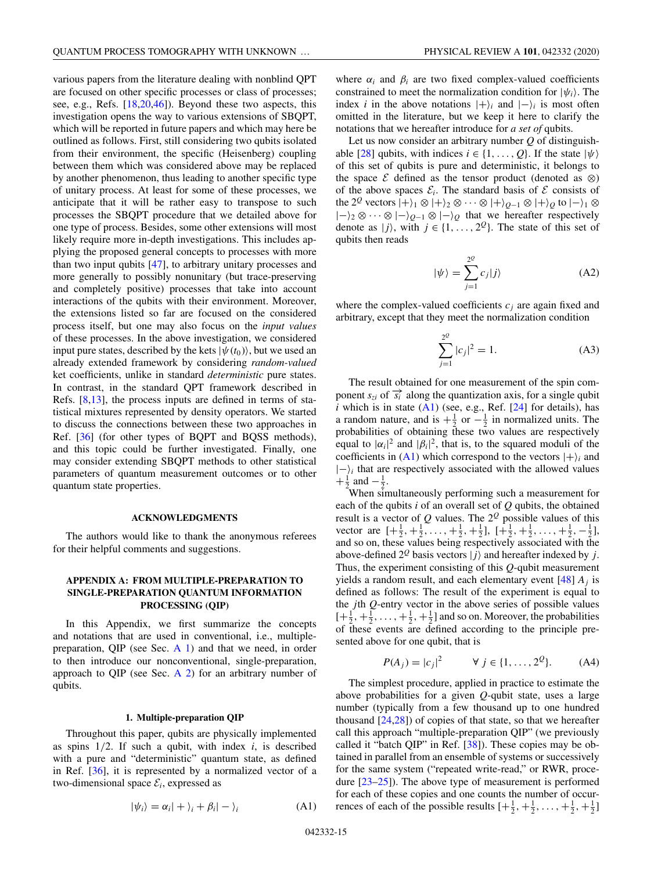various papers from the literature dealing with nonblind QPT are focused on other specific processes or class of processes; see, e.g., Refs. [18,20,46]). Beyond these two aspects, this investigation opens the way to various extensions of SBQPT, which will be reported in future papers and which may here be outlined as follows. First, still considering two qubits isolated from their environment, the specific (Heisenberg) coupling between them which was considered above may be replaced by another phenomenon, thus leading to another specific type of unitary process. At least for some of these processes, we anticipate that it will be rather easy to transpose to such processes the SBQPT procedure that we detailed above for one type of process. Besides, some other extensions will most likely require more in-depth investigations. This includes applying the proposed general concepts to processes with more than two input qubits [47], to arbitrary unitary processes and more generally to possibly nonunitary (but trace-preserving and completely positive) processes that take into account interactions of the qubits with their environment. Moreover, the extensions listed so far are focused on the considered process itself, but one may also focus on the *input values* of these processes. In the above investigation, we considered input pure states, described by the kets  $|\psi(t_0)\rangle$ , but we used an already extended framework by considering *random-valued* ket coefficients, unlike in standard *deterministic* pure states. In contrast, in the standard QPT framework described in Refs. [8,13], the process inputs are defined in terms of statistical mixtures represented by density operators. We started to discuss the connections between these two approaches in Ref. [36] (for other types of BQPT and BQSS methods), and this topic could be further investigated. Finally, one may consider extending SBQPT methods to other statistical parameters of quantum measurement outcomes or to other quantum state properties.

#### **ACKNOWLEDGMENTS**

The authors would like to thank the anonymous referees for their helpful comments and suggestions.

## **APPENDIX A: FROM MULTIPLE-PREPARATION TO SINGLE-PREPARATION QUANTUM INFORMATION PROCESSING (QIP)**

In this Appendix, we first summarize the concepts and notations that are used in conventional, i.e., multiplepreparation, QIP (see Sec.  $A_1$ ) and that we need, in order to then introduce our nonconventional, single-preparation, approach to QIP (see Sec. A  $2$ ) for an arbitrary number of qubits.

### **1. Multiple-preparation QIP**

Throughout this paper, qubits are physically implemented as spins  $1/2$ . If such a qubit, with index  $i$ , is described with a pure and "deterministic" quantum state, as defined in Ref. [36], it is represented by a normalized vector of a two-dimensional space  $\mathcal{E}_i$ , expressed as

$$
|\psi_i\rangle = \alpha_i| + \rangle_i + \beta_i| - \rangle_i \tag{A1}
$$

where  $\alpha_i$  and  $\beta_i$  are two fixed complex-valued coefficients constrained to meet the normalization condition for  $|\psi_i\rangle$ . The index *i* in the above notations  $|+\rangle_i$  and  $|-\rangle_i$  is most often omitted in the literature, but we keep it here to clarify the notations that we hereafter introduce for *a set of* qubits.

Let us now consider an arbitrary number *Q* of distinguishable [28] qubits, with indices  $i \in \{1, \ldots, Q\}$ . If the state  $|\psi\rangle$ of this set of qubits is pure and deterministic, it belongs to the space  $\mathcal E$  defined as the tensor product (denoted as  $\otimes$ ) of the above spaces  $\mathcal{E}_i$ . The standard basis of  $\mathcal E$  consists of the 2<sup>*Q*</sup> vectors  $|+\rangle_1 \otimes |+\rangle_2 \otimes \cdots \otimes |+\rangle_{Q-1} \otimes |+\rangle_Q$  to  $|-\rangle_1 \otimes$ |−<sup>2</sup> ⊗ ··· ⊗ |−*Q*−<sup>1</sup> ⊗ |−*<sup>Q</sup>* that we hereafter respectively denote as  $|j\rangle$ , with  $j \in \{1, \ldots, 2^{\mathcal{Q}}\}$ . The state of this set of qubits then reads

$$
|\psi\rangle = \sum_{j=1}^{2^Q} c_j |j\rangle \tag{A2}
$$

where the complex-valued coefficients  $c_j$  are again fixed and arbitrary, except that they meet the normalization condition

$$
\sum_{j=1}^{2^{\mathcal{Q}}} |c_j|^2 = 1.
$$
 (A3)

The result obtained for one measurement of the spin component  $s_{zi}$  of  $\overline{s_i}$  along the quantization axis, for a single qubit  $i$  which is in state  $(A1)$  (see, e.g., Ref.  $[24]$  for details), has a random nature, and is  $+\frac{1}{2}$  or  $-\frac{1}{2}$  in normalized units. The probabilities of obtaining these two values are respectively equal to  $|\alpha_i|^2$  and  $|\beta_i|^2$ , that is, to the squared moduli of the coefficients in  $(A1)$  which correspond to the vectors  $|+\rangle_i$  and  $|-\rangle_i$  that are respectively associated with the allowed values  $+\frac{1}{2}$  and  $-\frac{1}{2}$ .

When simultaneously performing such a measurement for each of the qubits *i* of an overall set of *Q* qubits, the obtained result is a vector of *Q* values. The 2*<sup>Q</sup>* possible values of this vector are  $[+\frac{1}{2}, +\frac{1}{2}, \dots, +\frac{1}{2}, +\frac{1}{2}], [\frac{1}{2}, +\frac{1}{2}, \dots, +\frac{1}{2}, -\frac{1}{2}],$ and so on, these values being respectively associated with the above-defined  $2^{\mathcal{Q}}$  basis vectors  $|j\rangle$  and hereafter indexed by *j*. Thus, the experiment consisting of this *Q*-qubit measurement yields a random result, and each elementary event  $[48] A_i$  is defined as follows: The result of the experiment is equal to the *j*th *Q*-entry vector in the above series of possible values  $[+\frac{1}{2}, +\frac{1}{2}, \ldots, +\frac{1}{2}, +\frac{1}{2}]$  and so on. Moreover, the probabilities of these events are defined according to the principle presented above for one qubit, that is

$$
P(A_j) = |c_j|^2
$$
  $\forall j \in \{1, ..., 2^Q\}.$  (A4)

The simplest procedure, applied in practice to estimate the above probabilities for a given *Q*-qubit state, uses a large number (typically from a few thousand up to one hundred thousand [24,28]) of copies of that state, so that we hereafter call this approach "multiple-preparation QIP" (we previously called it "batch QIP" in Ref. [38]). These copies may be obtained in parallel from an ensemble of systems or successively for the same system ("repeated write-read," or RWR, procedure [23–25]). The above type of measurement is performed for each of these copies and one counts the number of occurrences of each of the possible results  $\left[+\frac{1}{2},+\frac{1}{2},\ldots,+\frac{1}{2},+\frac{1}{2}\right]$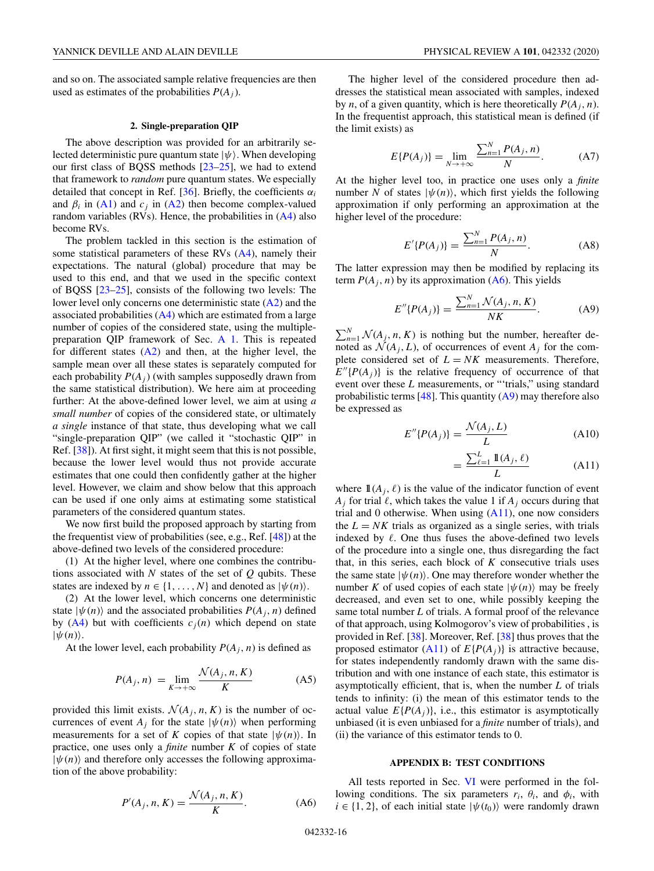and so on. The associated sample relative frequencies are then used as estimates of the probabilities  $P(A_i)$ .

#### **2. Single-preparation QIP**

The above description was provided for an arbitrarily selected deterministic pure quantum state  $|\psi\rangle$ . When developing our first class of BQSS methods [23–25], we had to extend that framework to *random* pure quantum states. We especially detailed that concept in Ref.  $[36]$ . Briefly, the coefficients  $\alpha_i$ and  $\beta_i$  in (A1) and  $c_j$  in (A2) then become complex-valued random variables (RVs). Hence, the probabilities in  $(A4)$  also become RVs.

The problem tackled in this section is the estimation of some statistical parameters of these RVs (A4), namely their expectations. The natural (global) procedure that may be used to this end, and that we used in the specific context of BQSS [23–25], consists of the following two levels: The lower level only concerns one deterministic state (A2) and the associated probabilities  $(A4)$  which are estimated from a large number of copies of the considered state, using the multiplepreparation QIP framework of Sec. A 1. This is repeated for different states  $(A2)$  and then, at the higher level, the sample mean over all these states is separately computed for each probability  $P(A_i)$  (with samples supposedly drawn from the same statistical distribution). We here aim at proceeding further: At the above-defined lower level, we aim at using *a small number* of copies of the considered state, or ultimately *a single* instance of that state, thus developing what we call "single-preparation QIP" (we called it "stochastic QIP" in Ref. [38]). At first sight, it might seem that this is not possible, because the lower level would thus not provide accurate estimates that one could then confidently gather at the higher level. However, we claim and show below that this approach can be used if one only aims at estimating some statistical parameters of the considered quantum states.

We now first build the proposed approach by starting from the frequentist view of probabilities (see, e.g., Ref. [48]) at the above-defined two levels of the considered procedure:

(1) At the higher level, where one combines the contributions associated with *N* states of the set of *Q* qubits. These states are indexed by  $n \in \{1, ..., N\}$  and denoted as  $|\psi(n)\rangle$ .

(2) At the lower level, which concerns one deterministic state  $|\psi(n)\rangle$  and the associated probabilities  $P(A_i, n)$  defined by  $(A4)$  but with coefficients  $c_i(n)$  which depend on state  $|\psi(n)\rangle$ .

At the lower level, each probability  $P(A_i, n)$  is defined as

$$
P(A_j, n) = \lim_{K \to +\infty} \frac{\mathcal{N}(A_j, n, K)}{K}
$$
 (A5)

provided this limit exists.  $\mathcal{N}(A_i, n, K)$  is the number of occurrences of event  $A_i$  for the state  $|\psi(n)\rangle$  when performing measurements for a set of *K* copies of that state  $|\psi(n)\rangle$ . In practice, one uses only a *finite* number *K* of copies of state  $|\psi(n)\rangle$  and therefore only accesses the following approximation of the above probability:

$$
P'(A_j, n, K) = \frac{\mathcal{N}(A_j, n, K)}{K}.
$$
 (A6)

The higher level of the considered procedure then addresses the statistical mean associated with samples, indexed by *n*, of a given quantity, which is here theoretically  $P(A_i, n)$ . In the frequentist approach, this statistical mean is defined (if the limit exists) as

$$
E\{P(A_j)\} = \lim_{N \to +\infty} \frac{\sum_{n=1}^{N} P(A_j, n)}{N}.
$$
 (A7)

At the higher level too, in practice one uses only a *finite* number *N* of states  $|\psi(n)\rangle$ , which first yields the following approximation if only performing an approximation at the higher level of the procedure:

$$
E'\{P(A_j)\} = \frac{\sum_{n=1}^{N} P(A_j, n)}{N}.
$$
 (A8)

The latter expression may then be modified by replacing its term  $P(A_i, n)$  by its approximation (A6). This yields

$$
E''\{P(A_j)\} = \frac{\sum_{n=1}^{N} \mathcal{N}(A_j, n, K)}{NK}.
$$
 (A9)

 $\sum_{n=1}^{N} \mathcal{N}(A_j, n, K)$  is nothing but the number, hereafter denoted as  $\mathcal{N}(A_i, L)$ , of occurrences of event  $A_i$  for the complete considered set of  $L = NK$  measurements. Therefore,  $E''\lbrace P(A_i) \rbrace$  is the relative frequency of occurrence of that event over these *L* measurements, or "'trials," using standard probabilistic terms  $[48]$ . This quantity  $(A9)$  may therefore also be expressed as

$$
E''\{P(A_j)\} = \frac{\mathcal{N}(A_j, L)}{L} \tag{A10}
$$

$$
=\frac{\sum_{\ell=1}^{L}\mathbb{1}(A_j,\ell)}{L} \tag{A11}
$$

where  $\mathbb{1}(A_i,\ell)$  is the value of the indicator function of event  $A_j$  for trial  $\ell$ , which takes the value 1 if  $A_j$  occurs during that trial and 0 otherwise. When using  $(A11)$ , one now considers the  $L = NK$  trials as organized as a single series, with trials indexed by  $\ell$ . One thus fuses the above-defined two levels of the procedure into a single one, thus disregarding the fact that, in this series, each block of *K* consecutive trials uses the same state  $|\psi(n)\rangle$ . One may therefore wonder whether the number *K* of used copies of each state  $|\psi(n)\rangle$  may be freely decreased, and even set to one, while possibly keeping the same total number *L* of trials. A formal proof of the relevance of that approach, using Kolmogorov's view of probabilities , is provided in Ref. [38]. Moreover, Ref. [38] thus proves that the proposed estimator  $(A11)$  of  $E\{P(A_i)\}\$ is attractive because, for states independently randomly drawn with the same distribution and with one instance of each state, this estimator is asymptotically efficient, that is, when the number *L* of trials tends to infinity: (i) the mean of this estimator tends to the actual value  $E\{P(A_i)\}\$ , i.e., this estimator is asymptotically unbiased (it is even unbiased for a *finite* number of trials), and (ii) the variance of this estimator tends to 0.

### **APPENDIX B: TEST CONDITIONS**

All tests reported in Sec. VI were performed in the following conditions. The six parameters  $r_i$ ,  $\theta_i$ , and  $\phi_i$ , with  $i \in \{1, 2\}$ , of each initial state  $|\psi(t_0)\rangle$  were randomly drawn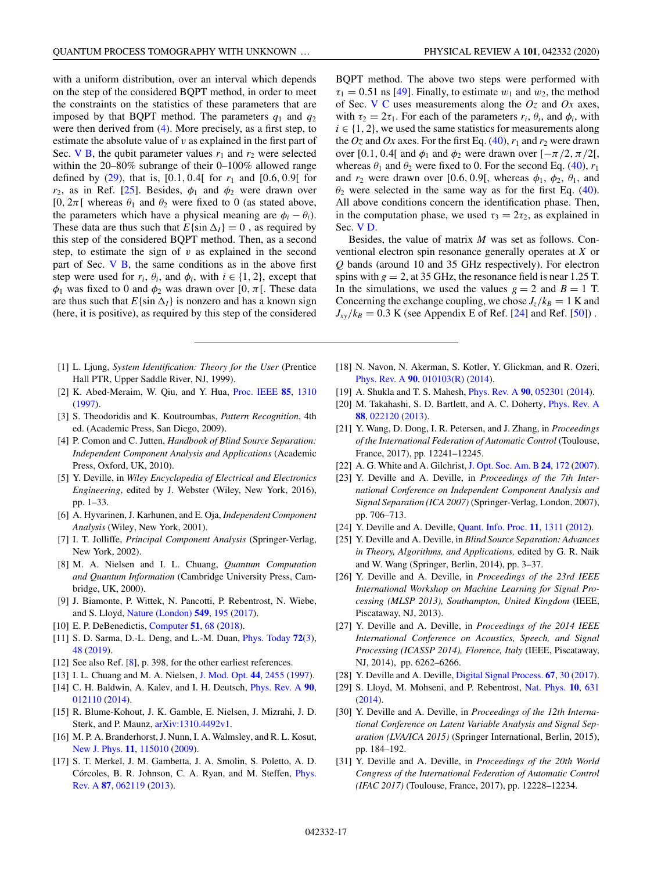with a uniform distribution, over an interval which depends on the step of the considered BQPT method, in order to meet the constraints on the statistics of these parameters that are imposed by that BQPT method. The parameters  $q_1$  and  $q_2$ were then derived from (4). More precisely, as a first step, to estimate the absolute value of *v* as explained in the first part of Sec. V B, the qubit parameter values  $r_1$  and  $r_2$  were selected within the 20–80% subrange of their 0–100% allowed range defined by  $(29)$ , that is,  $[0.1, 0.4]$  for  $r_1$  and  $[0.6, 0.9]$  for  $r_2$ , as in Ref. [25]. Besides,  $\phi_1$  and  $\phi_2$  were drawn over [0,  $2\pi$ [ whereas  $\theta_1$  and  $\theta_2$  were fixed to 0 (as stated above, the parameters which have a physical meaning are  $\phi_i - \theta_i$ ). These data are thus such that  $E$ {sin  $\Delta$ <sub>I</sub>} = 0, as required by this step of the considered BQPT method. Then, as a second step, to estimate the sign of *v* as explained in the second part of Sec.  $V$   $B$ , the same conditions as in the above first step were used for  $r_i$ ,  $\theta_i$ , and  $\phi_i$ , with  $i \in \{1, 2\}$ , except that  $\phi_1$  was fixed to 0 and  $\phi_2$  was drawn over [0,  $\pi$ [. These data are thus such that  $E\{\sin \Delta_l\}$  is nonzero and has a known sign (here, it is positive), as required by this step of the considered

- [1] L. Ljung, *System Identification: Theory for the User* (Prentice Hall PTR, Upper Saddle River, NJ, 1999).
- [2] K. Abed-Meraim, W. Qiu, and Y. Hua, [Proc. IEEE](https://doi.org/10.1109/5.622507) **[85](https://doi.org/10.1109/5.622507)**, [1310](https://doi.org/10.1109/5.622507) [\(1997\)](https://doi.org/10.1109/5.622507).
- [3] S. Theodoridis and K. Koutroumbas, *Pattern Recognition*, 4th ed. (Academic Press, San Diego, 2009).
- [4] P. Comon and C. Jutten, *Handbook of Blind Source Separation: Independent Component Analysis and Applications* (Academic Press, Oxford, UK, 2010).
- [5] Y. Deville, in *Wiley Encyclopedia of Electrical and Electronics Engineering*, edited by J. Webster (Wiley, New York, 2016), pp. 1–33.
- [6] A. Hyvarinen, J. Karhunen, and E. Oja, *Independent Component Analysis* (Wiley, New York, 2001).
- [7] I. T. Jolliffe, *Principal Component Analysis* (Springer-Verlag, New York, 2002).
- [8] M. A. Nielsen and I. L. Chuang, *Quantum Computation and Quantum Information* (Cambridge University Press, Cambridge, UK, 2000).
- [9] J. Biamonte, P. Wittek, N. Pancotti, P. Rebentrost, N. Wiebe, and S. Lloyd, [Nature \(London\)](https://doi.org/10.1038/nature23474) **[549](https://doi.org/10.1038/nature23474)**, [195](https://doi.org/10.1038/nature23474) [\(2017\)](https://doi.org/10.1038/nature23474).
- [10] E. P. DeBenedictis, [Computer](https://doi.org/10.1109/MC.2018.1451646) **[51](https://doi.org/10.1109/MC.2018.1451646)**, [68](https://doi.org/10.1109/MC.2018.1451646) [\(2018\)](https://doi.org/10.1109/MC.2018.1451646).
- [11] S. D. Sarma, D.-L. Deng, and L.-M. Duan, [Phys. Today](https://doi.org/10.1063/PT.3.4164) **[72](https://doi.org/10.1063/PT.3.4164)**[\(3\)](https://doi.org/10.1063/PT.3.4164), [48](https://doi.org/10.1063/PT.3.4164) [\(2019\)](https://doi.org/10.1063/PT.3.4164).
- [12] See also Ref. [8], p. 398, for the other earliest references.
- [13] I. L. Chuang and M. A. Nielsen, [J. Mod. Opt.](https://doi.org/10.1080/09500349708231894) **[44](https://doi.org/10.1080/09500349708231894)**, [2455](https://doi.org/10.1080/09500349708231894) [\(1997\)](https://doi.org/10.1080/09500349708231894).
- [14] C. H. Baldwin, A. Kalev, and I. H. Deutsch, [Phys. Rev. A](https://doi.org/10.1103/PhysRevA.90.012110) **[90](https://doi.org/10.1103/PhysRevA.90.012110)**, [012110](https://doi.org/10.1103/PhysRevA.90.012110) [\(2014\)](https://doi.org/10.1103/PhysRevA.90.012110).
- [15] R. Blume-Kohout, J. K. Gamble, E. Nielsen, J. Mizrahi, J. D. Sterk, and P. Maunz, [arXiv:1310.4492v1.](http://arxiv.org/abs/arXiv:1310.4492v1)
- [16] M. P. A. Branderhorst, J. Nunn, I. A. Walmsley, and R. L. Kosut, [New J. Phys.](https://doi.org/10.1088/1367-2630/11/11/115010) **[11](https://doi.org/10.1088/1367-2630/11/11/115010)**, [115010](https://doi.org/10.1088/1367-2630/11/11/115010) [\(2009\)](https://doi.org/10.1088/1367-2630/11/11/115010).
- [17] S. T. Merkel, J. M. Gambetta, J. A. Smolin, S. Poletto, A. D. [Córcoles, B. R. Johnson, C. A. Ryan, and M. Steffen,](https://doi.org/10.1103/PhysRevA.87.062119) Phys. Rev. A **[87](https://doi.org/10.1103/PhysRevA.87.062119)**, [062119](https://doi.org/10.1103/PhysRevA.87.062119) [\(2013\)](https://doi.org/10.1103/PhysRevA.87.062119).

BQPT method. The above two steps were performed with  $\tau_1 = 0.51$  ns [49]. Finally, to estimate  $w_1$  and  $w_2$ , the method of Sec. V C uses measurements along the *Oz* and *Ox* axes, with  $\tau_2 = 2\tau_1$ . For each of the parameters  $r_i$ ,  $\theta_i$ , and  $\phi_i$ , with  $i \in \{1, 2\}$ , we used the same statistics for measurements along the  $Oz$  and  $Ox$  axes. For the first Eq. (40),  $r_1$  and  $r_2$  were drawn over [0.1, 0.4] and  $\phi_1$  and  $\phi_2$  were drawn over  $[-\pi/2, \pi/2]$ , whereas  $\theta_1$  and  $\theta_2$  were fixed to 0. For the second Eq. (40),  $r_1$ and  $r_2$  were drawn over [0.6, 0.9[, whereas  $\phi_1$ ,  $\phi_2$ ,  $\theta_1$ , and  $\theta_2$  were selected in the same way as for the first Eq. (40). All above conditions concern the identification phase. Then, in the computation phase, we used  $\tau_3 = 2\tau_2$ , as explained in Sec. V D.

Besides, the value of matrix *M* was set as follows. Conventional electron spin resonance generally operates at *X* or *Q* bands (around 10 and 35 GHz respectively). For electron spins with  $g = 2$ , at 35 GHz, the resonance field is near 1.25 T. In the simulations, we used the values  $g = 2$  and  $B = 1$  T. Concerning the exchange coupling, we chose  $J_z/k_B = 1$  K and  $J_{xy}/k_B = 0.3$  K (see Appendix E of Ref. [24] and Ref. [50]).

- [18] N. Navon, N. Akerman, S. Kotler, Y. Glickman, and R. Ozeri, [Phys. Rev. A](https://doi.org/10.1103/PhysRevA.90.010103) **[90](https://doi.org/10.1103/PhysRevA.90.010103)**, [010103\(R\)](https://doi.org/10.1103/PhysRevA.90.010103) [\(2014\)](https://doi.org/10.1103/PhysRevA.90.010103).
- [19] A. Shukla and T. S. Mahesh, [Phys. Rev. A](https://doi.org/10.1103/PhysRevA.90.052301) **[90](https://doi.org/10.1103/PhysRevA.90.052301)**, [052301](https://doi.org/10.1103/PhysRevA.90.052301) [\(2014\)](https://doi.org/10.1103/PhysRevA.90.052301).
- [20] M. Takahashi, S. D. Bartlett, and A. C. Doherty, [Phys. Rev. A](https://doi.org/10.1103/PhysRevA.88.022120) **[88](https://doi.org/10.1103/PhysRevA.88.022120)**, [022120](https://doi.org/10.1103/PhysRevA.88.022120) [\(2013\)](https://doi.org/10.1103/PhysRevA.88.022120).
- [21] Y. Wang, D. Dong, I. R. Petersen, and J. Zhang, in *Proceedings of the International Federation of Automatic Control* (Toulouse, France, 2017), pp. 12241–12245.
- [22] A. G. White and A. Gilchrist,[J. Opt. Soc. Am. B](https://doi.org/10.1364/JOSAB.24.000172) **[24](https://doi.org/10.1364/JOSAB.24.000172)**, [172](https://doi.org/10.1364/JOSAB.24.000172) [\(2007\)](https://doi.org/10.1364/JOSAB.24.000172).
- [23] Y. Deville and A. Deville, in *Proceedings of the 7th International Conference on Independent Component Analysis and Signal Separation (ICA 2007)* (Springer-Verlag, London, 2007), pp. 706–713.
- [24] Y. Deville and A. Deville, [Quant. Info. Proc.](https://doi.org/10.1007/s11128-011-0273-7) **[11](https://doi.org/10.1007/s11128-011-0273-7)**, [1311](https://doi.org/10.1007/s11128-011-0273-7) [\(2012\)](https://doi.org/10.1007/s11128-011-0273-7).
- [25] Y. Deville and A. Deville, in *Blind Source Separation: Advances in Theory, Algorithms, and Applications,* edited by G. R. Naik and W. Wang (Springer, Berlin, 2014), pp. 3–37.
- [26] Y. Deville and A. Deville, in *Proceedings of the 23rd IEEE International Workshop on Machine Learning for Signal Processing (MLSP 2013), Southampton, United Kingdom* (IEEE, Piscataway, NJ, 2013).
- [27] Y. Deville and A. Deville, in *Proceedings of the 2014 IEEE International Conference on Acoustics, Speech, and Signal Processing (ICASSP 2014), Florence, Italy* (IEEE, Piscataway, NJ, 2014), pp. 6262–6266.
- [28] Y. Deville and A. Deville, [Digital Signal Process.](https://doi.org/10.1016/j.dsp.2017.04.013) **[67](https://doi.org/10.1016/j.dsp.2017.04.013)**, [30](https://doi.org/10.1016/j.dsp.2017.04.013) [\(2017\)](https://doi.org/10.1016/j.dsp.2017.04.013).
- [29] S. Lloyd, M. Mohseni, and P. Rebentrost, [Nat. Phys.](https://doi.org/10.1038/nphys3029) **[10](https://doi.org/10.1038/nphys3029)**, [631](https://doi.org/10.1038/nphys3029) [\(2014\)](https://doi.org/10.1038/nphys3029).
- [30] Y. Deville and A. Deville, in *Proceedings of the 12th International Conference on Latent Variable Analysis and Signal Separation (LVA/ICA 2015)* (Springer International, Berlin, 2015), pp. 184–192.
- [31] Y. Deville and A. Deville, in *Proceedings of the 20th World Congress of the International Federation of Automatic Control (IFAC 2017)* (Toulouse, France, 2017), pp. 12228–12234.